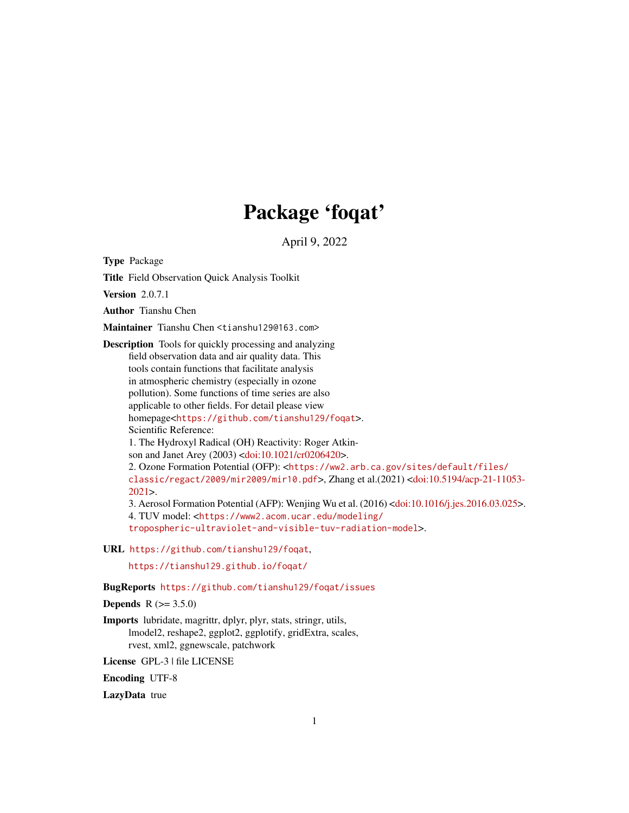# Package 'foqat'

April 9, 2022

Type Package

Title Field Observation Quick Analysis Toolkit

Version 2.0.7.1

Author Tianshu Chen

Maintainer Tianshu Chen <tianshu129@163.com>

Description Tools for quickly processing and analyzing field observation data and air quality data. This tools contain functions that facilitate analysis in atmospheric chemistry (especially in ozone pollution). Some functions of time series are also applicable to other fields. For detail please view homepage<<https://github.com/tianshu129/foqat>>. Scientific Reference: 1. The Hydroxyl Radical (OH) Reactivity: Roger Atkinson and Janet Arey (2003) [<doi:10.1021/cr0206420>](https://doi.org/10.1021/cr0206420). 2. Ozone Formation Potential (OFP): <[https://ww2.arb.ca.gov/sites/default/files/](https://ww2.arb.ca.gov/sites/default/files/classic/regact/2009/mir2009/mir10.pdf) [classic/regact/2009/mir2009/mir10.pdf](https://ww2.arb.ca.gov/sites/default/files/classic/regact/2009/mir2009/mir10.pdf)>, Zhang et al.(2021) [<doi:10.5194/acp-21-11053-](https://doi.org/10.5194/acp-21-11053-2021) [2021>](https://doi.org/10.5194/acp-21-11053-2021). 3. Aerosol Formation Potential (AFP): Wenjing Wu et al. (2016) [<doi:10.1016/j.jes.2016.03.025>](https://doi.org/10.1016/j.jes.2016.03.025). 4. TUV model: <[https://www2.acom.ucar.edu/modeling/](https://www2.acom.ucar.edu/modeling/tropospheric-ultraviolet-and-visible-tuv-radiation-model) [tropospheric-ultraviolet-and-visible-tuv-radiation-model](https://www2.acom.ucar.edu/modeling/tropospheric-ultraviolet-and-visible-tuv-radiation-model)>.

URL <https://github.com/tianshu129/foqat>,

<https://tianshu129.github.io/foqat/>

#### BugReports <https://github.com/tianshu129/foqat/issues>

**Depends** R  $(>= 3.5.0)$ 

Imports lubridate, magrittr, dplyr, plyr, stats, stringr, utils, lmodel2, reshape2, ggplot2, ggplotify, gridExtra, scales, rvest, xml2, ggnewscale, patchwork

License GPL-3 | file LICENSE

Encoding UTF-8

LazyData true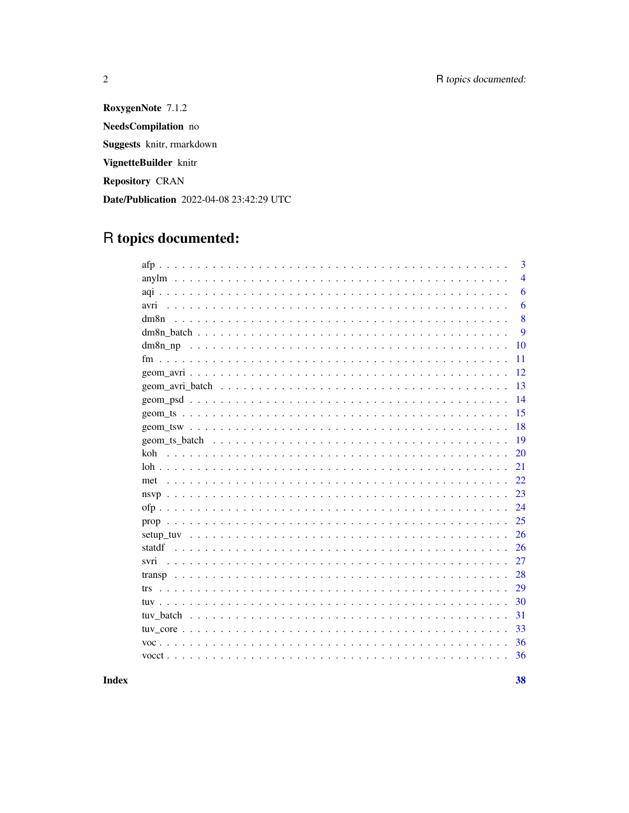RoxygenNote 7.1.2 NeedsCompilation no Suggests knitr, rmarkdown VignetteBuilder knitr Repository CRAN Date/Publication 2022-04-08 23:42:29 UTC

# R topics documented:

 $\overline{2}$ 

|               | 3              |
|---------------|----------------|
|               | $\overline{4}$ |
|               | 6              |
| avri          | 6              |
| dm8n          | 8              |
|               | 9              |
|               | 10             |
|               | 11             |
|               | 12             |
|               | 13             |
|               | 14             |
|               | 15             |
|               | 18             |
| geom ts batch | 19             |
| koh           | 20             |
|               | 21             |
| met           | 22             |
|               | 23             |
|               | 24             |
| prop          | 25             |
|               | 26             |
| statdf        | 26             |
| svri          | 27             |
|               | 28             |
| trs.          | 29             |
|               | 30             |
|               | 31             |
|               | 33             |
|               | 36             |
|               | 36             |
|               |                |

**Index**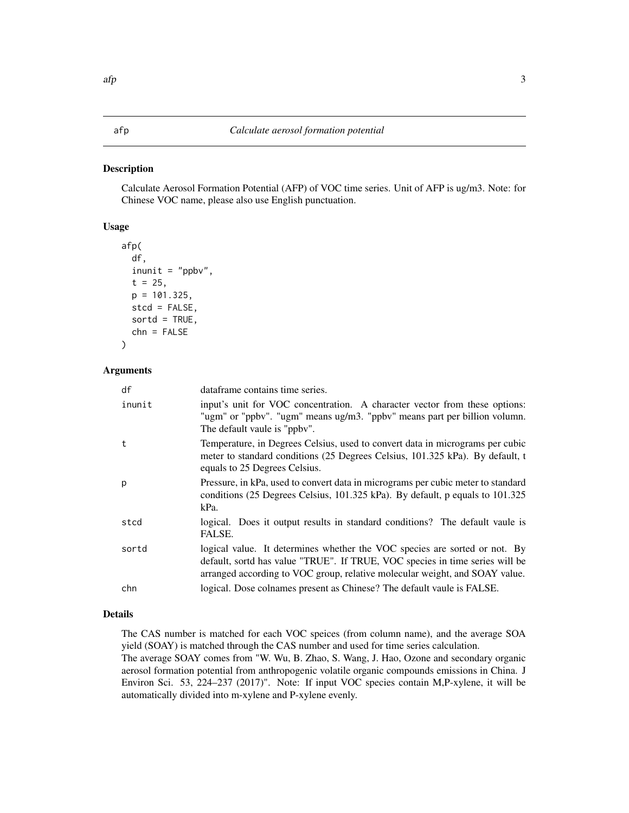# <span id="page-2-0"></span>Description

Calculate Aerosol Formation Potential (AFP) of VOC time series. Unit of AFP is ug/m3. Note: for Chinese VOC name, please also use English punctuation.

# Usage

```
afp(
  df,
  inunit = "ppbv",t = 25,p = 101.325,
  stcd = FALSE,
  sortd = TRUE,
  chn = FALSE
)
```
#### Arguments

| df     | dataframe contains time series.                                                                                                                                                                                                           |
|--------|-------------------------------------------------------------------------------------------------------------------------------------------------------------------------------------------------------------------------------------------|
| inunit | input's unit for VOC concentration. A character vector from these options:<br>"ugm" or "ppbv". "ugm" means ug/m3. "ppbv" means part per billion volumn.<br>The default vaule is "ppby".                                                   |
| t      | Temperature, in Degrees Celsius, used to convert data in micrograms per cubic<br>meter to standard conditions (25 Degrees Celsius, 101.325 kPa). By default, t<br>equals to 25 Degrees Celsius.                                           |
| р      | Pressure, in kPa, used to convert data in micrograms per cubic meter to standard<br>conditions (25 Degrees Celsius, 101.325 kPa). By default, p equals to 101.325<br>kPa.                                                                 |
| stcd   | logical. Does it output results in standard conditions? The default vaule is<br>FALSE.                                                                                                                                                    |
| sortd  | logical value. It determines whether the VOC species are sorted or not. By<br>default, sortd has value "TRUE". If TRUE, VOC species in time series will be<br>arranged according to VOC group, relative molecular weight, and SOAY value. |
| chn    | logical. Dose colnames present as Chinese? The default vaule is FALSE.                                                                                                                                                                    |
|        |                                                                                                                                                                                                                                           |

# Details

The CAS number is matched for each VOC speices (from column name), and the average SOA yield (SOAY) is matched through the CAS number and used for time series calculation.

The average SOAY comes from "W. Wu, B. Zhao, S. Wang, J. Hao, Ozone and secondary organic aerosol formation potential from anthropogenic volatile organic compounds emissions in China. J Environ Sci. 53, 224–237 (2017)". Note: If input VOC species contain M,P-xylene, it will be automatically divided into m-xylene and P-xylene evenly.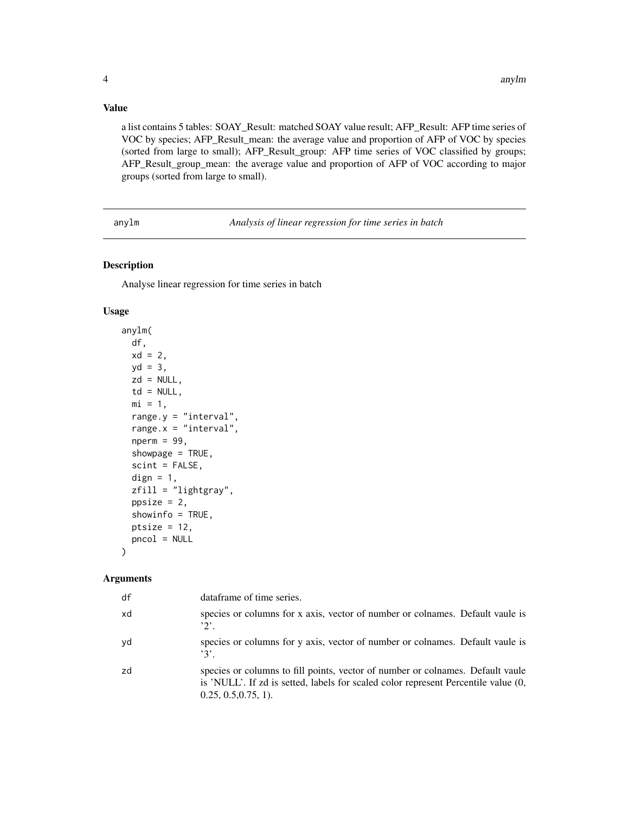# <span id="page-3-0"></span>Value

a list contains 5 tables: SOAY\_Result: matched SOAY value result; AFP\_Result: AFP time series of VOC by species; AFP\_Result\_mean: the average value and proportion of AFP of VOC by species (sorted from large to small); AFP\_Result\_group: AFP time series of VOC classified by groups; AFP\_Result\_group\_mean: the average value and proportion of AFP of VOC according to major groups (sorted from large to small).

anylm *Analysis of linear regression for time series in batch*

# Description

Analyse linear regression for time series in batch

#### Usage

```
anylm(
  df,
  xd = 2,
 yd = 3,zd = NULL,
  td = NULL,mi = 1,range.y = "interval",
  range.x = "interval",
  nperm = 99,showpage = TRUE,
  scint = FALSE,dign = 1,
  zfill = "lightgray",
  ppsize = 2,
  showinfo = TRUE,
  ptsize = 12,
  pncol = NULL
```
#### Arguments

)

| df | dataframe of time series.                                                                                                                                                                      |
|----|------------------------------------------------------------------------------------------------------------------------------------------------------------------------------------------------|
| xd | species or columns for x axis, vector of number or columnes. Default vaule is<br>$2^{\prime}$ .                                                                                                |
| yd | species or columns for y axis, vector of number or columnes. Default vaule is<br>$'3'$ .                                                                                                       |
| zd | species or columns to fill points, vector of number or colnames. Default vaule<br>is 'NULL'. If zd is setted, labels for scaled color represent Percentile value (0,<br>$0.25, 0.5, 0.75, 1$ . |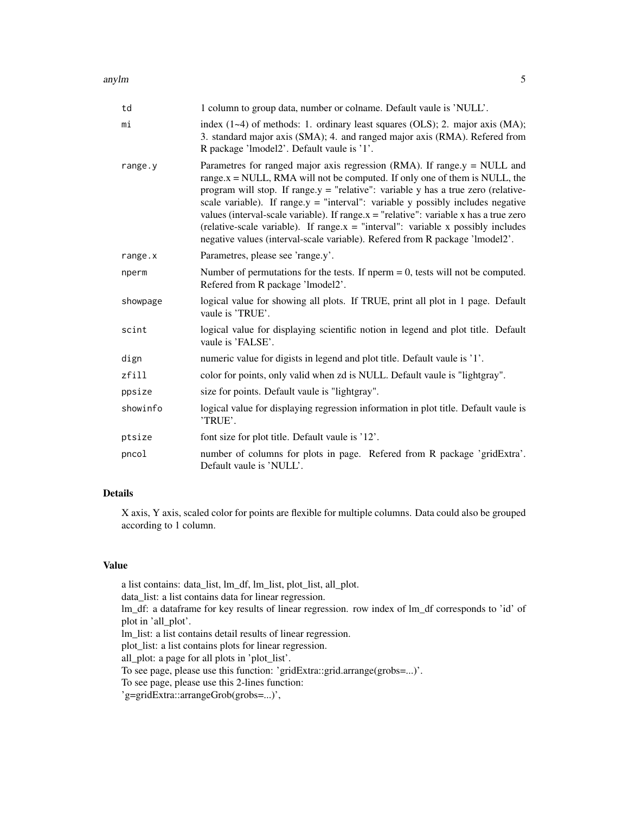#### anylm 5

| td       | 1 column to group data, number or colname. Default vaule is 'NULL'.                                                                                                                                                                                                                                                                                                                                                                                                                                                                                                                                       |
|----------|-----------------------------------------------------------------------------------------------------------------------------------------------------------------------------------------------------------------------------------------------------------------------------------------------------------------------------------------------------------------------------------------------------------------------------------------------------------------------------------------------------------------------------------------------------------------------------------------------------------|
| mi       | index $(1-4)$ of methods: 1. ordinary least squares $(OLS)$ ; 2. major axis $(MA)$ ;<br>3. standard major axis (SMA); 4. and ranged major axis (RMA). Refered from<br>R package 'lmodel2'. Default vaule is '1'.                                                                                                                                                                                                                                                                                                                                                                                          |
| range.y  | Parametres for ranged major axis regression (RMA). If range $y = NULL$ and<br>range. $x = NULL$ , RMA will not be computed. If only one of them is NULL, the<br>program will stop. If range $y =$ "relative": variable y has a true zero (relative-<br>scale variable). If range $y =$ "interval": variable y possibly includes negative<br>values (interval-scale variable). If range $x =$ "relative": variable x has a true zero<br>(relative-scale variable). If range $x =$ "interval": variable x possibly includes<br>negative values (interval-scale variable). Refered from R package 'lmodel2'. |
| range.x  | Parametres, please see 'range.y'.                                                                                                                                                                                                                                                                                                                                                                                                                                                                                                                                                                         |
| nperm    | Number of permutations for the tests. If nperm $= 0$ , tests will not be computed.<br>Refered from R package 'lmodel2'.                                                                                                                                                                                                                                                                                                                                                                                                                                                                                   |
| showpage | logical value for showing all plots. If TRUE, print all plot in 1 page. Default<br>vaule is 'TRUE'.                                                                                                                                                                                                                                                                                                                                                                                                                                                                                                       |
| scint    | logical value for displaying scientific notion in legend and plot title. Default<br>vaule is 'FALSE'.                                                                                                                                                                                                                                                                                                                                                                                                                                                                                                     |
| dign     | numeric value for digists in legend and plot title. Default vaule is '1'.                                                                                                                                                                                                                                                                                                                                                                                                                                                                                                                                 |
| zfill    | color for points, only valid when zd is NULL. Default vaule is "lightgray".                                                                                                                                                                                                                                                                                                                                                                                                                                                                                                                               |
| ppsize   | size for points. Default vaule is "lightgray".                                                                                                                                                                                                                                                                                                                                                                                                                                                                                                                                                            |
| showinfo | logical value for displaying regression information in plot title. Default vaule is<br>'TRUE'.                                                                                                                                                                                                                                                                                                                                                                                                                                                                                                            |
| ptsize   | font size for plot title. Default vaule is '12'.                                                                                                                                                                                                                                                                                                                                                                                                                                                                                                                                                          |
| pncol    | number of columns for plots in page. Refered from R package 'gridExtra'.<br>Default vaule is 'NULL'.                                                                                                                                                                                                                                                                                                                                                                                                                                                                                                      |

# Details

X axis, Y axis, scaled color for points are flexible for multiple columns. Data could also be grouped according to 1 column.

# Value

a list contains: data\_list, lm\_df, lm\_list, plot\_list, all\_plot. data\_list: a list contains data for linear regression. lm\_df: a dataframe for key results of linear regression. row index of lm\_df corresponds to 'id' of plot in 'all\_plot'. lm\_list: a list contains detail results of linear regression. plot\_list: a list contains plots for linear regression. all\_plot: a page for all plots in 'plot\_list'. To see page, please use this function: 'gridExtra::grid.arrange(grobs=...)'. To see page, please use this 2-lines function: 'g=gridExtra::arrangeGrob(grobs=...)',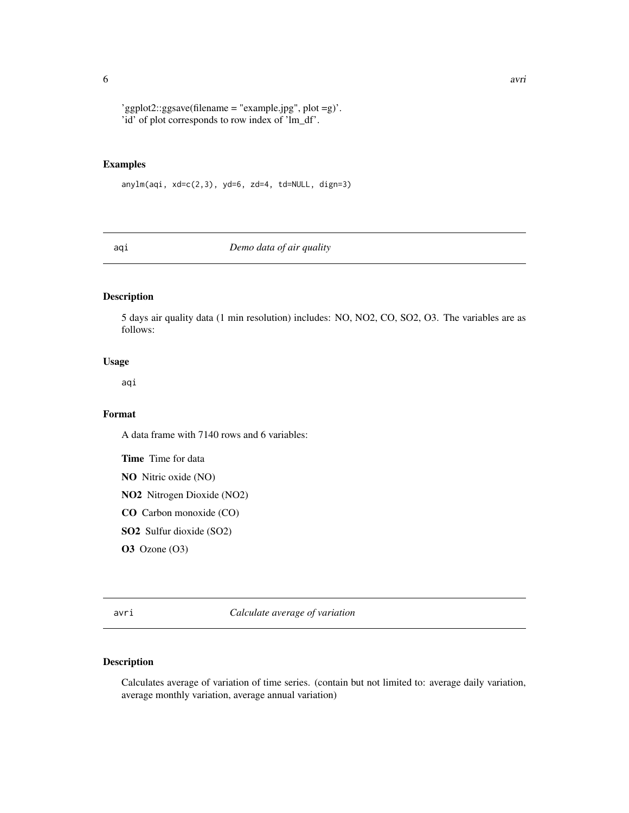<span id="page-5-0"></span>'ggplot2::ggsave(filename = "example.jpg", plot =g)'. 'id' of plot corresponds to row index of 'lm\_df'.

#### Examples

 $anylm(aqi, xd=c(2,3), yd=6, zd=4, td=NULL, dign=3)$ 

aqi *Demo data of air quality*

# Description

5 days air quality data (1 min resolution) includes: NO, NO2, CO, SO2, O3. The variables are as follows:

# Usage

aqi

# Format

A data frame with 7140 rows and 6 variables:

Time Time for data

NO Nitric oxide (NO)

NO2 Nitrogen Dioxide (NO2)

CO Carbon monoxide (CO)

SO2 Sulfur dioxide (SO2)

**O3** Ozone (O3)

avri *Calculate average of variation*

# Description

Calculates average of variation of time series. (contain but not limited to: average daily variation, average monthly variation, average annual variation)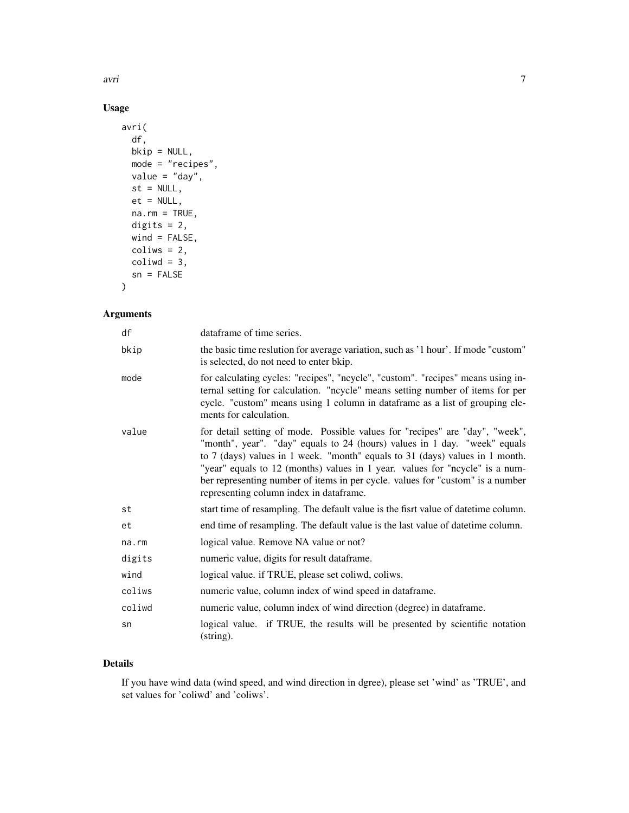avri $\overline{7}$ 

# Usage

```
avri(
 df,
 bkip = NULL,
 mode = "recipes",
 value = "day",
 st = NULL,et = NULL,na.rm = TRUE,digits = 2,
 wind = FALSE,colius = 2,coliwd = 3,
 sn = FALSE)
```
# Arguments

| df     | dataframe of time series.                                                                                                                                                                                                                                                                                                                                                                                                                              |
|--------|--------------------------------------------------------------------------------------------------------------------------------------------------------------------------------------------------------------------------------------------------------------------------------------------------------------------------------------------------------------------------------------------------------------------------------------------------------|
| bkip   | the basic time reslution for average variation, such as '1 hour'. If mode "custom"<br>is selected, do not need to enter bkip.                                                                                                                                                                                                                                                                                                                          |
| mode   | for calculating cycles: "recipes", "ncycle", "custom". "recipes" means using in-<br>ternal setting for calculation. "ncycle" means setting number of items for per<br>cycle. "custom" means using 1 column in dataframe as a list of grouping ele-<br>ments for calculation.                                                                                                                                                                           |
| value  | for detail setting of mode. Possible values for "recipes" are "day", "week",<br>"month", year". "day" equals to 24 (hours) values in 1 day. "week" equals<br>to 7 (days) values in 1 week. "month" equals to 31 (days) values in 1 month.<br>"year" equals to 12 (months) values in 1 year. values for "ncycle" is a num-<br>ber representing number of items in per cycle. values for "custom" is a number<br>representing column index in dataframe. |
| st     | start time of resampling. The default value is the fisrt value of date time column.                                                                                                                                                                                                                                                                                                                                                                    |
| et     | end time of resampling. The default value is the last value of date time column.                                                                                                                                                                                                                                                                                                                                                                       |
| na.rm  | logical value. Remove NA value or not?                                                                                                                                                                                                                                                                                                                                                                                                                 |
| digits | numeric value, digits for result dataframe.                                                                                                                                                                                                                                                                                                                                                                                                            |
| wind   | logical value. if TRUE, please set coliwd, coliws.                                                                                                                                                                                                                                                                                                                                                                                                     |
| coliws | numeric value, column index of wind speed in dataframe.                                                                                                                                                                                                                                                                                                                                                                                                |
| coliwd | numeric value, column index of wind direction (degree) in dataframe.                                                                                                                                                                                                                                                                                                                                                                                   |
| sn     | logical value. if TRUE, the results will be presented by scientific notation<br>(string).                                                                                                                                                                                                                                                                                                                                                              |

# Details

If you have wind data (wind speed, and wind direction in dgree), please set 'wind' as 'TRUE', and set values for 'coliwd' and 'coliws'.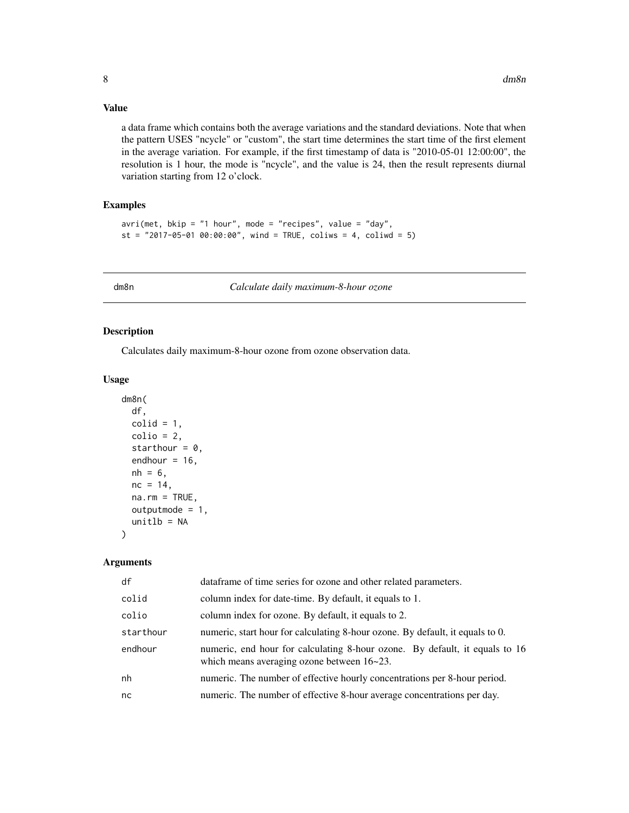#### <span id="page-7-0"></span>Value

a data frame which contains both the average variations and the standard deviations. Note that when the pattern USES "ncycle" or "custom", the start time determines the start time of the first element in the average variation. For example, if the first timestamp of data is "2010-05-01 12:00:00", the resolution is 1 hour, the mode is "ncycle", and the value is 24, then the result represents diurnal variation starting from 12 o'clock.

#### Examples

```
\arcsin(\text{met}, \text{bkip} = "1 \text{ hour", mode} = "recipes", value = "day",st = "2017-05-01 00:00:00", wind = TRUE, coliws = 4, coliwd = 5)
```
dm8n *Calculate daily maximum-8-hour ozone*

#### Description

Calculates daily maximum-8-hour ozone from ozone observation data.

#### Usage

```
dm8n(
  df,
  colid = 1,
  colio = 2,
  starthour = 0,
  endhour = 16,
  nh = 6,
  nc = 14,
  na.rm = TRUE,outputmode = 1,
  unitlb = NA)
```

| df        | dataframe of time series for ozone and other related parameters.                                                          |
|-----------|---------------------------------------------------------------------------------------------------------------------------|
| colid     | column index for date-time. By default, it equals to 1.                                                                   |
| colio     | column index for ozone. By default, it equals to 2.                                                                       |
| starthour | numeric, start hour for calculating 8-hour ozone. By default, it equals to 0.                                             |
| endhour   | numeric, end hour for calculating 8-hour ozone. By default, it equals to 16<br>which means averaging ozone between 16~23. |
| nh        | numeric. The number of effective hourly concentrations per 8-hour period.                                                 |
| nc        | numeric. The number of effective 8-hour average concentrations per day.                                                   |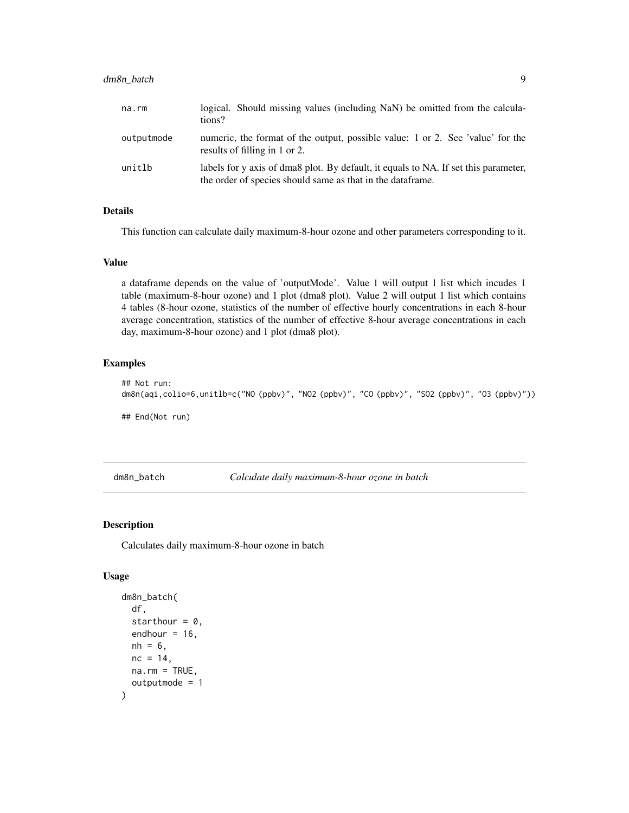# <span id="page-8-0"></span>dm8n\_batch 9

| na.rm      | logical. Should missing values (including NaN) be omitted from the calcula-<br>tions?                                                              |
|------------|----------------------------------------------------------------------------------------------------------------------------------------------------|
| outputmode | numeric, the format of the output, possible value: 1 or 2. See 'value' for the<br>results of filling in 1 or 2.                                    |
| unitlb     | labels for y axis of dma8 plot. By default, it equals to NA. If set this parameter,<br>the order of species should same as that in the data frame. |

#### Details

This function can calculate daily maximum-8-hour ozone and other parameters corresponding to it.

#### Value

a dataframe depends on the value of 'outputMode'. Value 1 will output 1 list which incudes 1 table (maximum-8-hour ozone) and 1 plot (dma8 plot). Value 2 will output 1 list which contains 4 tables (8-hour ozone, statistics of the number of effective hourly concentrations in each 8-hour average concentration, statistics of the number of effective 8-hour average concentrations in each day, maximum-8-hour ozone) and 1 plot (dma8 plot).

#### Examples

```
## Not run:
dm8n(aqi,colio=6,unitlb=c("NO (ppbv)", "NO2 (ppbv)", "CO (ppbv)", "SO2 (ppbv)", "O3 (ppbv)"))
## End(Not run)
```
dm8n\_batch *Calculate daily maximum-8-hour ozone in batch*

# Description

Calculates daily maximum-8-hour ozone in batch

#### Usage

```
dm8n_batch(
  df,
  starthour = 0,
  endhour = 16,
 nh = 6,
 nc = 14,
 na.rm = TRUE,outputmode = 1
)
```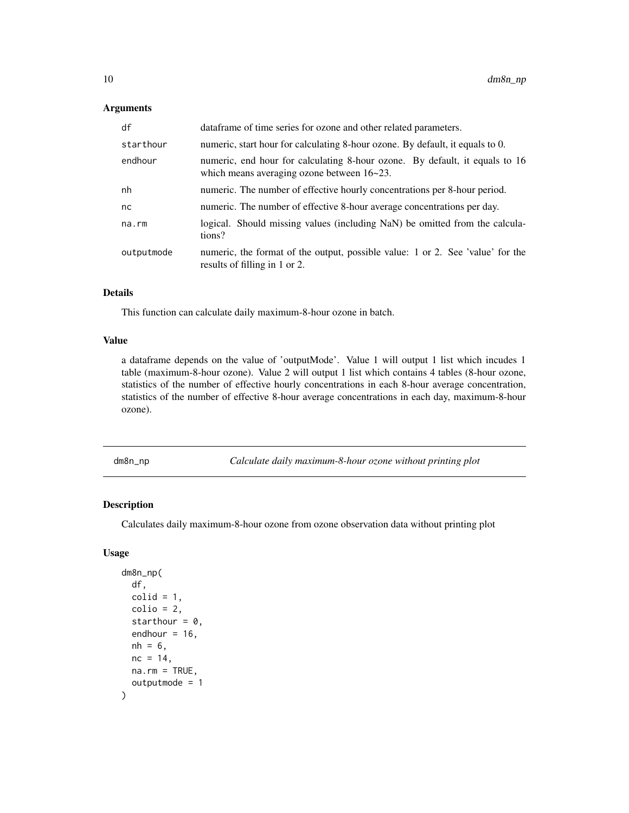# <span id="page-9-0"></span>Arguments

| df         | dataframe of time series for ozone and other related parameters.                                                          |
|------------|---------------------------------------------------------------------------------------------------------------------------|
| starthour  | numeric, start hour for calculating 8-hour ozone. By default, it equals to 0.                                             |
| endhour    | numeric, end hour for calculating 8-hour ozone. By default, it equals to 16<br>which means averaging ozone between 16~23. |
| nh         | numeric. The number of effective hourly concentrations per 8-hour period.                                                 |
| nc         | numeric. The number of effective 8-hour average concentrations per day.                                                   |
| na.rm      | logical. Should missing values (including NaN) be omitted from the calcula-<br>tions?                                     |
| outputmode | numeric, the format of the output, possible value: 1 or 2. See 'value' for the<br>results of filling in 1 or 2.           |

# Details

This function can calculate daily maximum-8-hour ozone in batch.

#### Value

a dataframe depends on the value of 'outputMode'. Value 1 will output 1 list which incudes 1 table (maximum-8-hour ozone). Value 2 will output 1 list which contains 4 tables (8-hour ozone, statistics of the number of effective hourly concentrations in each 8-hour average concentration, statistics of the number of effective 8-hour average concentrations in each day, maximum-8-hour ozone).

dm8n\_np *Calculate daily maximum-8-hour ozone without printing plot*

# Description

Calculates daily maximum-8-hour ozone from ozone observation data without printing plot

#### Usage

```
dm8n_np(
  df,
  \text{cold} = 1,
 colio = 2,
  starthour = 0,
  endhour = 16,
 nh = 6,
 nc = 14.
 na.rm = TRUE,outputmode = 1
)
```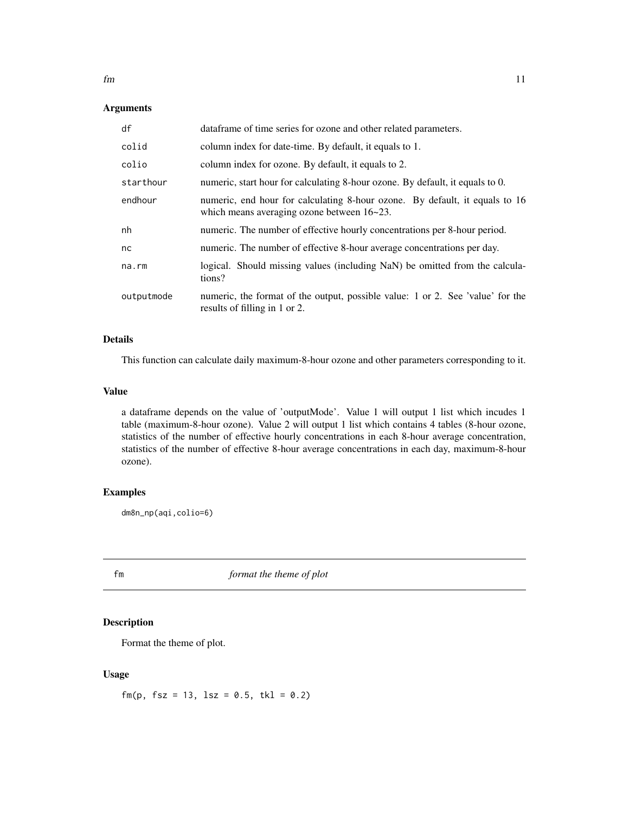# <span id="page-10-0"></span>Arguments

| df         | dataframe of time series for ozone and other related parameters.                                                               |
|------------|--------------------------------------------------------------------------------------------------------------------------------|
| colid      | column index for date-time. By default, it equals to 1.                                                                        |
| colio      | column index for ozone. By default, it equals to 2.                                                                            |
| starthour  | numeric, start hour for calculating 8-hour ozone. By default, it equals to 0.                                                  |
| endhour    | numeric, end hour for calculating 8-hour ozone. By default, it equals to 16<br>which means averaging ozone between $16 - 23$ . |
| nh         | numeric. The number of effective hourly concentrations per 8-hour period.                                                      |
| nc         | numeric. The number of effective 8-hour average concentrations per day.                                                        |
| na.rm      | logical. Should missing values (including NaN) be omitted from the calcula-<br>tions?                                          |
| outputmode | numeric, the format of the output, possible value: 1 or 2. See 'value' for the<br>results of filling in 1 or 2.                |

#### Details

This function can calculate daily maximum-8-hour ozone and other parameters corresponding to it.

#### Value

a dataframe depends on the value of 'outputMode'. Value 1 will output 1 list which incudes 1 table (maximum-8-hour ozone). Value 2 will output 1 list which contains 4 tables (8-hour ozone, statistics of the number of effective hourly concentrations in each 8-hour average concentration, statistics of the number of effective 8-hour average concentrations in each day, maximum-8-hour ozone).

# Examples

dm8n\_np(aqi,colio=6)

fm *format the theme of plot*

# Description

Format the theme of plot.

#### Usage

 $fm(p, fsz = 13, lsz = 0.5, tkl = 0.2)$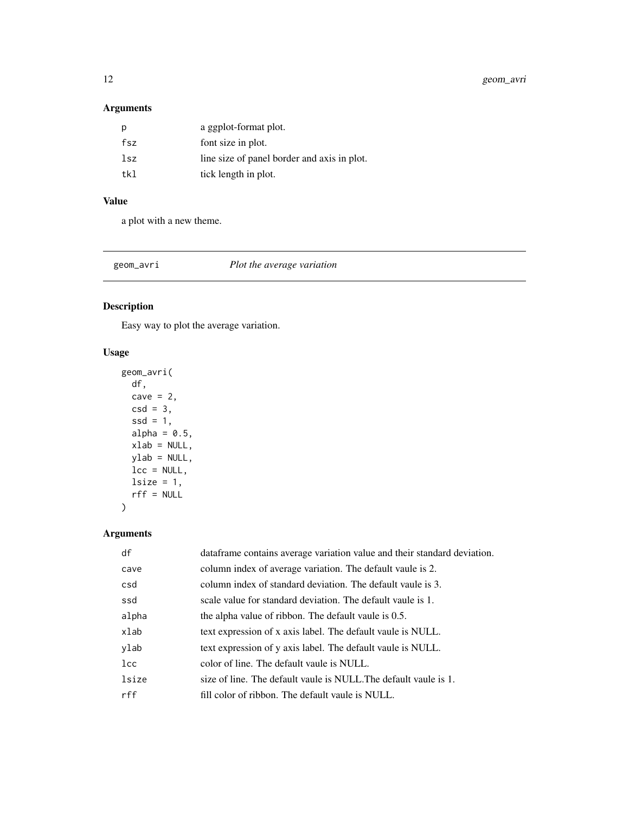<span id="page-11-0"></span>12 geom\_avri

# Arguments

|     | a ggplot-format plot.                       |
|-----|---------------------------------------------|
| fsz | font size in plot.                          |
| lsz | line size of panel border and axis in plot. |
| tk1 | tick length in plot.                        |
|     |                                             |

# Value

a plot with a new theme.

geom\_avri *Plot the average variation*

# Description

Easy way to plot the average variation.

# Usage

```
geom_avri(
 df,
 cave = 2,
 csd = 3,
 ssd = 1,
 alpha = 0.5,
 xlab = NULL,ylab = NULL,
 lcc = NULL,lsize = 1,rff = NULL
)
```

| df           | dataframe contains average variation value and their standard deviation. |
|--------------|--------------------------------------------------------------------------|
| cave         | column index of average variation. The default vaule is 2.               |
| csd          | column index of standard deviation. The default vaule is 3.              |
| ssd          | scale value for standard deviation. The default vaule is 1.              |
| alpha        | the alpha value of ribbon. The default vaule is 0.5.                     |
| xlab         | text expression of x axis label. The default vaule is NULL.              |
| ylab         | text expression of y axis label. The default vaule is NULL.              |
| $_{\rm lcc}$ | color of line. The default vaule is NULL.                                |
| lsize        | size of line. The default vaule is NULL. The default vaule is 1.         |
| rff          | fill color of ribbon. The default vaule is NULL.                         |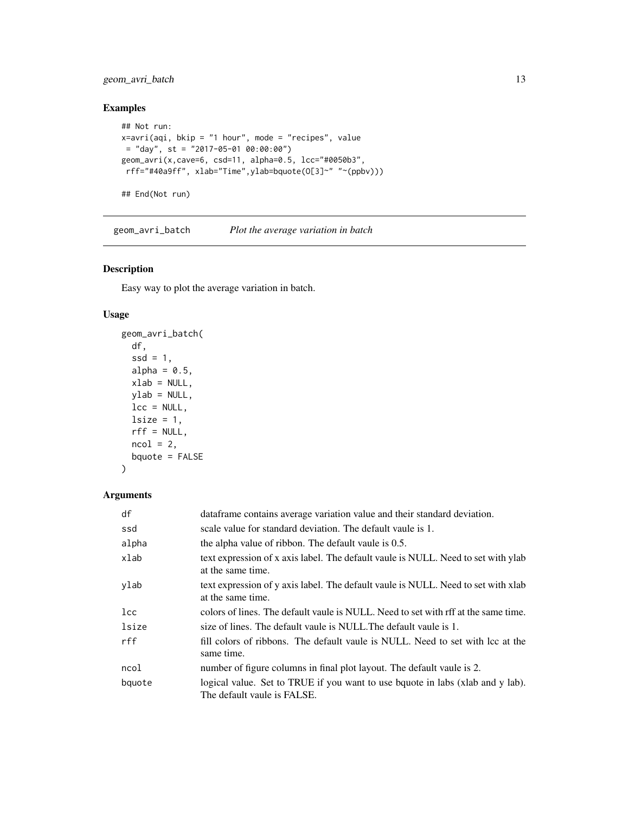# <span id="page-12-0"></span>geom\_avri\_batch 13

# Examples

```
## Not run:
x=avri(aqi, bkip = "1 hour", mode = "recipes", value
= "day", st = "2017-05-01 00:00:00")
geom_avri(x,cave=6, csd=11, alpha=0.5, lcc="#0050b3",
rff="#40a9ff", xlab="Time",ylab=bquote(O[3]~" "~(ppbv)))
```
## End(Not run)

geom\_avri\_batch *Plot the average variation in batch*

# Description

Easy way to plot the average variation in batch.

#### Usage

```
geom_avri_batch(
  df,
  ssd = 1,
  alpha = 0.5,
 xlab = NULL,ylab = NULL,
 lcc = NULL,lsize = 1,rff = NULL,ncol = 2,
 bquote = FALSE
\mathcal{L}
```

| df       | dataframe contains average variation value and their standard deviation.                                      |
|----------|---------------------------------------------------------------------------------------------------------------|
| ssd      | scale value for standard deviation. The default vaule is 1.                                                   |
| alpha    | the alpha value of ribbon. The default vaule is 0.5.                                                          |
| xlab     | text expression of x axis label. The default vaule is NULL. Need to set with ylab<br>at the same time.        |
| ylab     | text expression of y axis label. The default vaule is NULL. Need to set with xlab<br>at the same time.        |
| $_{1cc}$ | colors of lines. The default vaule is NULL. Need to set with rff at the same time.                            |
| lsize    | size of lines. The default vaule is NULL. The default vaule is 1.                                             |
| rff      | fill colors of ribbons. The default vaule is NULL. Need to set with lcc at the<br>same time.                  |
| ncol     | number of figure columns in final plot layout. The default vaule is 2.                                        |
| bquote   | logical value. Set to TRUE if you want to use bquote in labs (xlab and y lab).<br>The default vaule is FALSE. |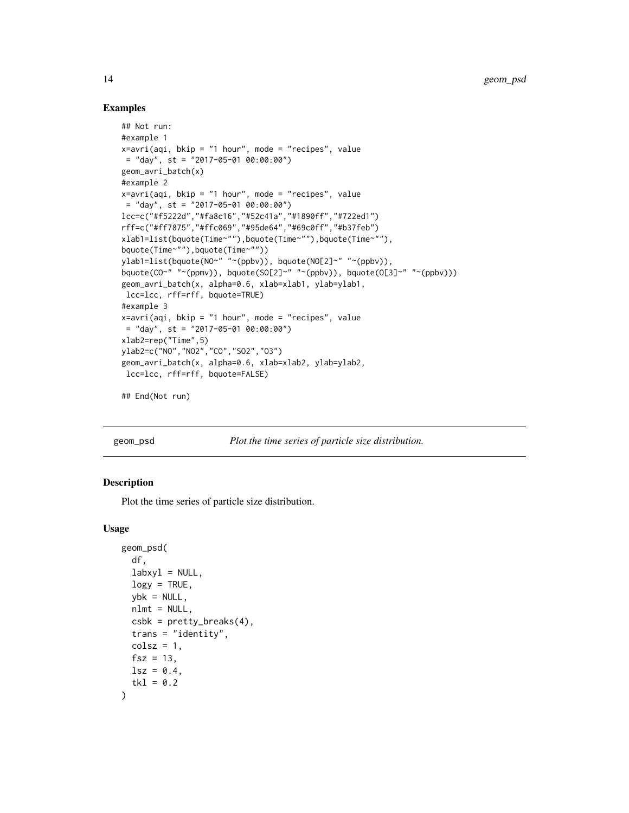#### Examples

```
## Not run:
#example 1
x=avri(aqi, bkip = "1 hour", mode = "recipes", value= "day", st = "2017-05-01 00:00:00")
geom_avri_batch(x)
#example 2
x=avri(aqi, bkip = "1 hour", mode = "recipes", value
= "day", st = "2017-05-01 00:00:00")
lcc=c("#f5222d","#fa8c16","#52c41a","#1890ff","#722ed1")
rff=c("#ff7875","#ffc069","#95de64","#69c0ff","#b37feb")
xlab1=list(bquote(Time~""),bquote(Time~""),bquote(Time~""),
bquote(Time~""),bquote(Time~""))
ylab1=list(bquote(NO~" "~(ppbv)), bquote(NO[2]~" "~(ppbv)),
bquote(CO~" "~(ppmv)), bquote(SO[2]~" "~(ppbv)), bquote(O[3]~" "~(ppbv)))
geom_avri_batch(x, alpha=0.6, xlab=xlab1, ylab=ylab1,
lcc=lcc, rff=rff, bquote=TRUE)
#example 3
x=avri(aqi, bkip = "1 hour", mode = "recipes", value= "day", st = "2017-05-01 00:00:00")
xlab2=rep("Time",5)
ylab2=c("NO","NO2","CO","SO2","O3")
geom_avri_batch(x, alpha=0.6, xlab=xlab2, ylab=ylab2,
lcc=lcc, rff=rff, bquote=FALSE)
## End(Not run)
```
geom\_psd *Plot the time series of particle size distribution.*

#### Description

Plot the time series of particle size distribution.

#### Usage

```
geom_psd(
  df,
  labxyl = NULL,
  \log y = TRUE,
  ybk = NULL,
  nlmt = NULL,
  csbk = pretty_breaks(4),
  trans = "identity",
  colsz = 1,
  fsz = 13,
  lsz = 0.4,
  tkl = 0.2)
```
<span id="page-13-0"></span>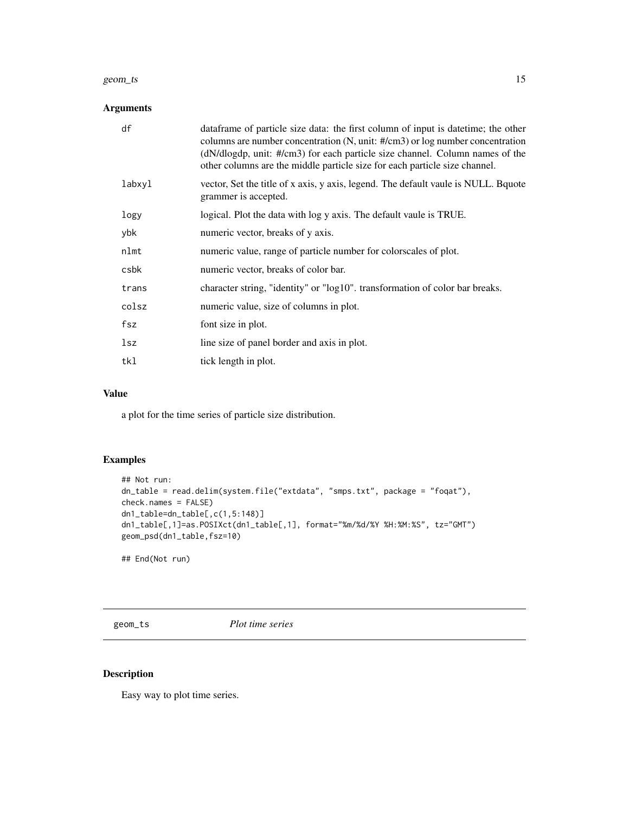#### <span id="page-14-0"></span>geom\_ts 15

# Arguments

| df     | dataframe of particle size data: the first column of input is datetime; the other<br>columns are number concentration $(N, unit: #/cm3)$ or log number concentration<br>$(dN/dlogdp, unit: #/cm3)$ for each particle size channel. Column names of the<br>other columns are the middle particle size for each particle size channel. |
|--------|--------------------------------------------------------------------------------------------------------------------------------------------------------------------------------------------------------------------------------------------------------------------------------------------------------------------------------------|
| labxyl | vector, Set the title of x axis, y axis, legend. The default vaule is NULL. Bquote<br>grammer is accepted.                                                                                                                                                                                                                           |
| logy   | logical. Plot the data with log y axis. The default vaule is TRUE.                                                                                                                                                                                                                                                                   |
| ybk    | numeric vector, breaks of y axis.                                                                                                                                                                                                                                                                                                    |
| nlmt   | numeric value, range of particle number for colorscales of plot.                                                                                                                                                                                                                                                                     |
| csbk   | numeric vector, breaks of color bar.                                                                                                                                                                                                                                                                                                 |
| trans  | character string, "identity" or "log10". transformation of color bar breaks.                                                                                                                                                                                                                                                         |
| colsz  | numeric value, size of columns in plot.                                                                                                                                                                                                                                                                                              |
| fsz    | font size in plot.                                                                                                                                                                                                                                                                                                                   |
| lsz    | line size of panel border and axis in plot.                                                                                                                                                                                                                                                                                          |
| tkl    | tick length in plot.                                                                                                                                                                                                                                                                                                                 |

# Value

a plot for the time series of particle size distribution.

# Examples

```
## Not run:
dn_table = read.delim(system.file("extdata", "smps.txt", package = "foqat"),
check.names = FALSE)
dn1_table=dn_table[,c(1,5:148)]
dn1_table[,1]=as.POSIXct(dn1_table[,1], format="%m/%d/%Y %H:%M:%S", tz="GMT")
geom_psd(dn1_table,fsz=10)
```
## End(Not run)

geom\_ts *Plot time series*

# Description

Easy way to plot time series.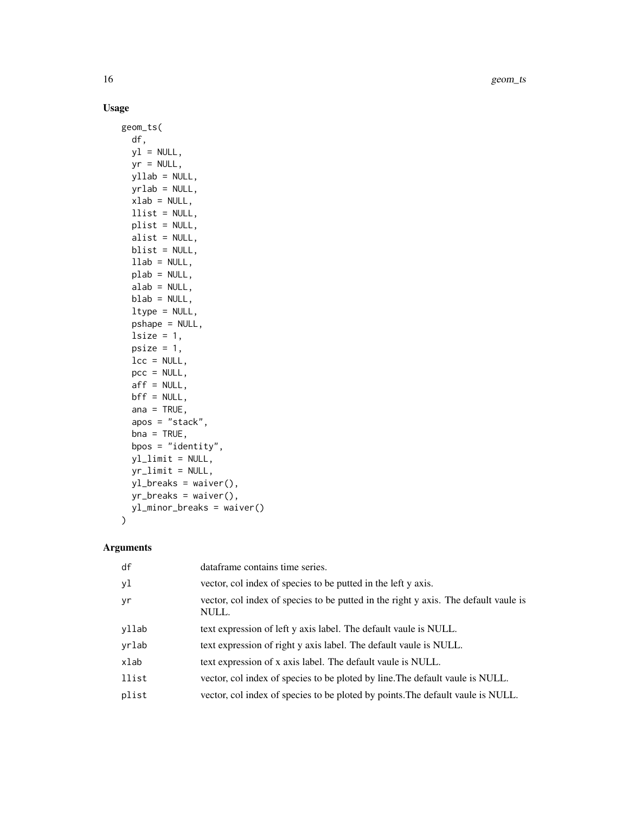# Usage

```
geom_ts(
 df,
 y1 = NULL,yr = NULL,
 yllab = NULL,
 yrlab = NULL,
 xlab = NULL,
 llist = NULL,
 plist = NULL,
 alist = NULL,
 blist = NULL,
 llab = NULL,plab = NULL,
 alab = NULL,
 blab = NULL,
  ltype = NULL,
 pshape = NULL,
  lsize = 1,psize = 1,
 lcc = NULL,pcc = NULL,
 aff = NULL,bf = NULL,ana = TRUE,
  apos = "stack",
 bna = TRUE,bpos = "identity",
 yl_limit = NULL,
 yr_limit = NULL,
 yl_breaks = waiver(),
 yr_breaks = waiver(),
 yl_minor_breaks = waiver()
)
```

| yl<br>vector, col index of species to be putted in the left y axis.                                |  |
|----------------------------------------------------------------------------------------------------|--|
| vector, col index of species to be putted in the right y axis. The default vaule is<br>yr<br>NULL. |  |
| yllab<br>text expression of left y axis label. The default vaule is NULL.                          |  |
| yrlab<br>text expression of right y axis label. The default vaule is NULL.                         |  |
| xlab<br>text expression of x axis label. The default vaule is NULL.                                |  |
| llist<br>vector, col index of species to be ploted by line. The default vaule is NULL.             |  |
| plist<br>vector, col index of species to be ploted by points. The default vaule is NULL.           |  |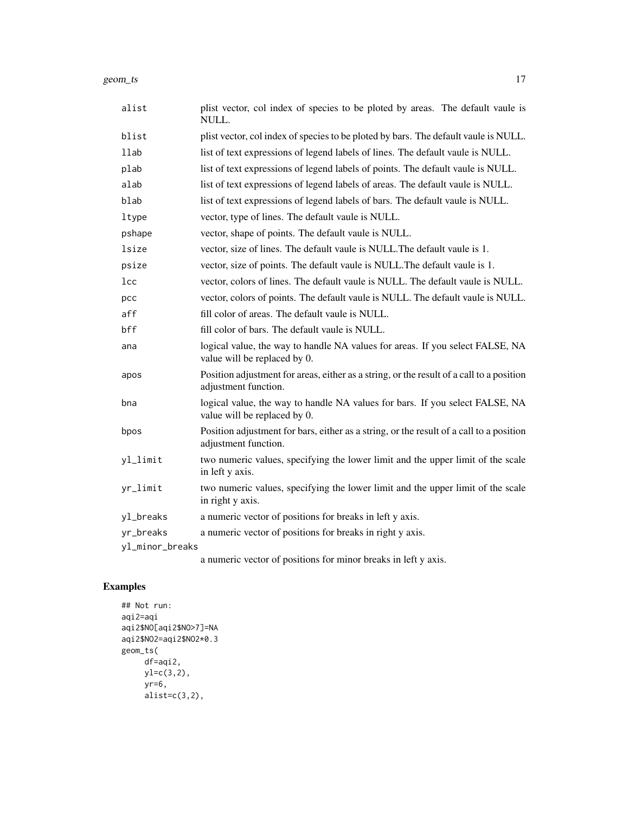| alist           | plist vector, col index of species to be ploted by areas. The default vaule is<br>NULL.                          |
|-----------------|------------------------------------------------------------------------------------------------------------------|
| blist           | plist vector, col index of species to be ploted by bars. The default vaule is NULL.                              |
| 11ab            | list of text expressions of legend labels of lines. The default vaule is NULL.                                   |
| plab            | list of text expressions of legend labels of points. The default vaule is NULL.                                  |
| alab            | list of text expressions of legend labels of areas. The default vaule is NULL.                                   |
| blab            | list of text expressions of legend labels of bars. The default vaule is NULL.                                    |
| ltype           | vector, type of lines. The default vaule is NULL.                                                                |
| pshape          | vector, shape of points. The default vaule is NULL.                                                              |
| lsize           | vector, size of lines. The default vaule is NULL. The default vaule is 1.                                        |
| psize           | vector, size of points. The default vaule is NULL. The default vaule is 1.                                       |
| lcc             | vector, colors of lines. The default vaule is NULL. The default vaule is NULL.                                   |
| pcc             | vector, colors of points. The default vaule is NULL. The default vaule is NULL.                                  |
| aff             | fill color of areas. The default vaule is NULL.                                                                  |
| bff             | fill color of bars. The default vaule is NULL.                                                                   |
| ana             | logical value, the way to handle NA values for areas. If you select FALSE, NA<br>value will be replaced by 0.    |
| apos            | Position adjustment for areas, either as a string, or the result of a call to a position<br>adjustment function. |
| bna             | logical value, the way to handle NA values for bars. If you select FALSE, NA<br>value will be replaced by 0.     |
| bpos            | Position adjustment for bars, either as a string, or the result of a call to a position<br>adjustment function.  |
| yl_limit        | two numeric values, specifying the lower limit and the upper limit of the scale<br>in left y axis.               |
| yr_limit        | two numeric values, specifying the lower limit and the upper limit of the scale<br>in right y axis.              |
| yl_breaks       | a numeric vector of positions for breaks in left y axis.                                                         |
| yr_breaks       | a numeric vector of positions for breaks in right y axis.                                                        |
| yl_minor_breaks |                                                                                                                  |

a numeric vector of positions for minor breaks in left y axis.

# Examples

```
## Not run:
aqi2=aqi
aqi2$NO[aqi2$NO>7]=NA
aqi2$NO2=aqi2$NO2*0.3
geom_ts(
     df=aqi2,
    yl=c(3,2),
    yr=6,
     alist=c(3,2),
```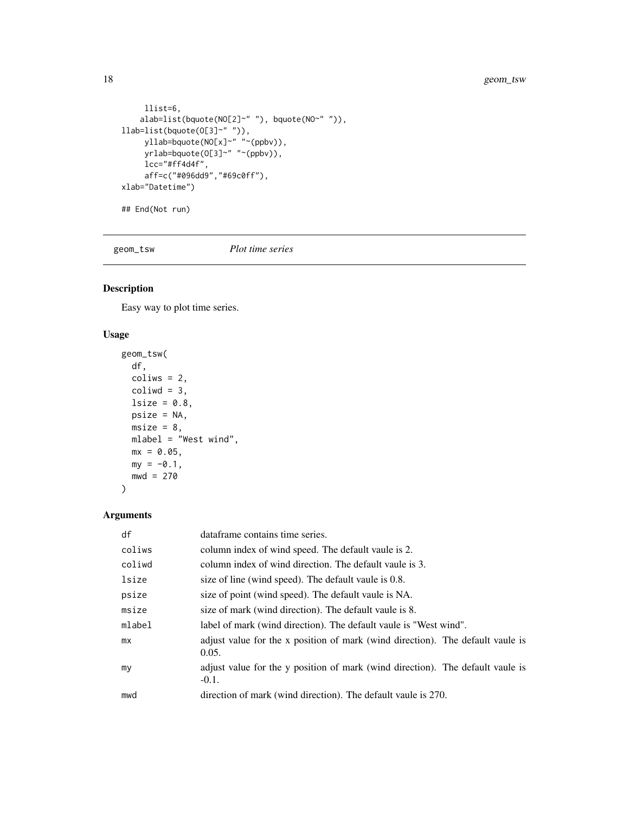```
llist=6,
    alab=list(bquote(NO[2]~" "), bquote(NO~" ")),
llab=list(bquote(O[3]~" ")),
     yllab=bquote(NO[x]~" "~(ppbv)),
     yrlab=bquote(O[3]~" "~(ppbv)),
     lcc="#ff4d4f",
     aff=c("#096dd9","#69c0ff"),
xlab="Datetime")
## End(Not run)
```
geom\_tsw *Plot time series*

# Description

Easy way to plot time series.

# Usage

```
geom_tsw(
 df,
 coliws = 2,
 coliwd = 3,
 lsize = 0.8,
 psize = NA,
 msize = 8,mlabel = "West wind",
 mx = 0.05,
 my = -0.1,
 mwd = 270\mathcal{L}
```

| df     | dataframe contains time series.                                                            |
|--------|--------------------------------------------------------------------------------------------|
| coliws | column index of wind speed. The default vaule is 2.                                        |
| coliwd | column index of wind direction. The default vaule is 3.                                    |
| lsize  | size of line (wind speed). The default vaule is 0.8.                                       |
| psize  | size of point (wind speed). The default vaule is NA.                                       |
| msize  | size of mark (wind direction). The default vaule is 8.                                     |
| mlabel | label of mark (wind direction). The default vaule is "West wind".                          |
| mx     | adjust value for the x position of mark (wind direction). The default vaule is<br>0.05.    |
| my     | adjust value for the y position of mark (wind direction). The default vaule is<br>$-0.1$ . |
| mwd    | direction of mark (wind direction). The default vaule is 270.                              |

<span id="page-17-0"></span>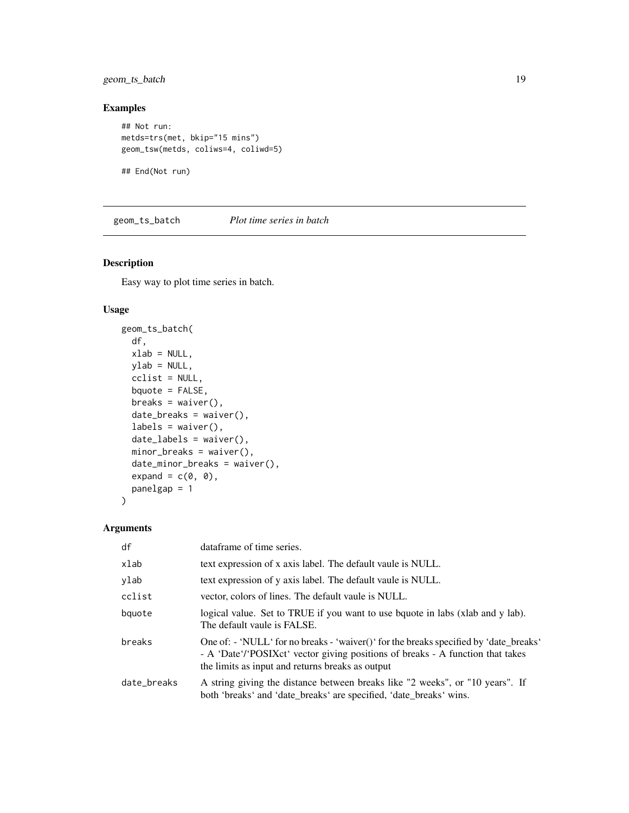# <span id="page-18-0"></span>geom\_ts\_batch 19

# Examples

```
## Not run:
metds=trs(met, bkip="15 mins")
geom_tsw(metds, coliws=4, coliwd=5)
```
## End(Not run)

geom\_ts\_batch *Plot time series in batch*

# Description

Easy way to plot time series in batch.

#### Usage

```
geom_ts_batch(
  df,
 xlab = NULL,
 ylab = NULL,
 cclist = NULL,
 bquote = FALSE,
 breaks = waiver(),
 date_breaks = waiver(),
  labels = waire(),date_labels = waiver(),
 minor_breaks = waiver(),
  date_minor_breaks = waiver(),
  expand = c(\emptyset, \emptyset),
 panelgap = 1
)
```

| df          | dataframe of time series.                                                                                                                                                                                                               |
|-------------|-----------------------------------------------------------------------------------------------------------------------------------------------------------------------------------------------------------------------------------------|
| xlab        | text expression of x axis label. The default vaule is NULL.                                                                                                                                                                             |
| ylab        | text expression of y axis label. The default vaule is NULL.                                                                                                                                                                             |
| cclist      | vector, colors of lines. The default vaule is NULL.                                                                                                                                                                                     |
| bquote      | logical value. Set to TRUE if you want to use bquote in labs (xlab and y lab).<br>The default vaule is FALSE.                                                                                                                           |
| breaks      | One of: $\cdot$ 'NULL' for no breaks $\cdot$ 'waiver()' for the breaks specified by 'date_breaks'<br>- A 'Date'/'POSIXct' vector giving positions of breaks - A function that takes<br>the limits as input and returns breaks as output |
| date_breaks | A string giving the distance between breaks like "2 weeks", or "10 years". If<br>both 'breaks' and 'date_breaks' are specified, 'date_breaks' wins.                                                                                     |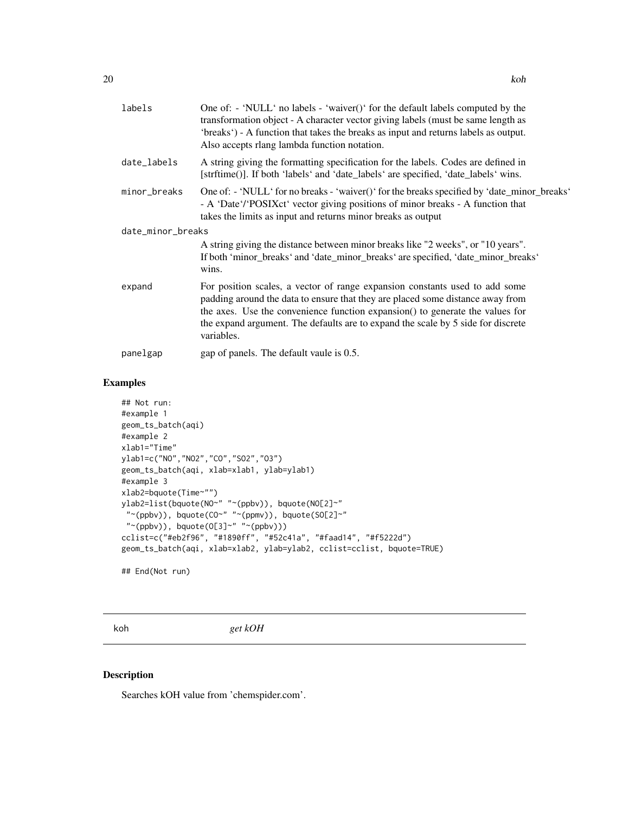<span id="page-19-0"></span>

| labels            | One of: - 'NULL' no labels - 'waiver()' for the default labels computed by the<br>transformation object - A character vector giving labels (must be same length as<br>'breaks') - A function that takes the breaks as input and returns labels as output.<br>Also accepts rlang lambda function notation.                                        |
|-------------------|--------------------------------------------------------------------------------------------------------------------------------------------------------------------------------------------------------------------------------------------------------------------------------------------------------------------------------------------------|
| date_labels       | A string giving the formatting specification for the labels. Codes are defined in<br>[strftime()]. If both 'labels' and 'date_labels' are specified, 'date_labels' wins.                                                                                                                                                                         |
| minor_breaks      | One of: - 'NULL' for no breaks - 'waiver()' for the breaks specified by 'date_minor_breaks'<br>- A 'Date'/'POSIXct' vector giving positions of minor breaks - A function that<br>takes the limits as input and returns minor breaks as output                                                                                                    |
| date_minor_breaks |                                                                                                                                                                                                                                                                                                                                                  |
|                   | A string giving the distance between minor breaks like "2 weeks", or "10 years".<br>If both 'minor_breaks' and 'date_minor_breaks' are specified, 'date_minor_breaks'<br>wins.                                                                                                                                                                   |
| expand            | For position scales, a vector of range expansion constants used to add some<br>padding around the data to ensure that they are placed some distance away from<br>the axes. Use the convenience function expansion() to generate the values for<br>the expand argument. The defaults are to expand the scale by 5 side for discrete<br>variables. |
| panelgap          | gap of panels. The default vaule is 0.5.                                                                                                                                                                                                                                                                                                         |

# Examples

```
## Not run:
#example 1
geom_ts_batch(aqi)
#example 2
xlab1="Time"
ylab1=c("NO","NO2","CO","SO2","O3")
geom_ts_batch(aqi, xlab=xlab1, ylab=ylab1)
#example 3
xlab2=bquote(Time~"")
ylab2=list(bquote(NO~" "~(ppbv)), bquote(NO[2]~"
 "~(ppbv)), bquote(CO~" "~(ppmv)), bquote(SO[2]~"
 "~(ppbv)), bquote(O[3]~" "~(ppbv)))
cclist=c("#eb2f96", "#1890ff", "#52c41a", "#faad14", "#f5222d")
geom_ts_batch(aqi, xlab=xlab2, ylab=ylab2, cclist=cclist, bquote=TRUE)
```

```
## End(Not run)
```
koh *get kOH*

# Description

Searches kOH value from 'chemspider.com'.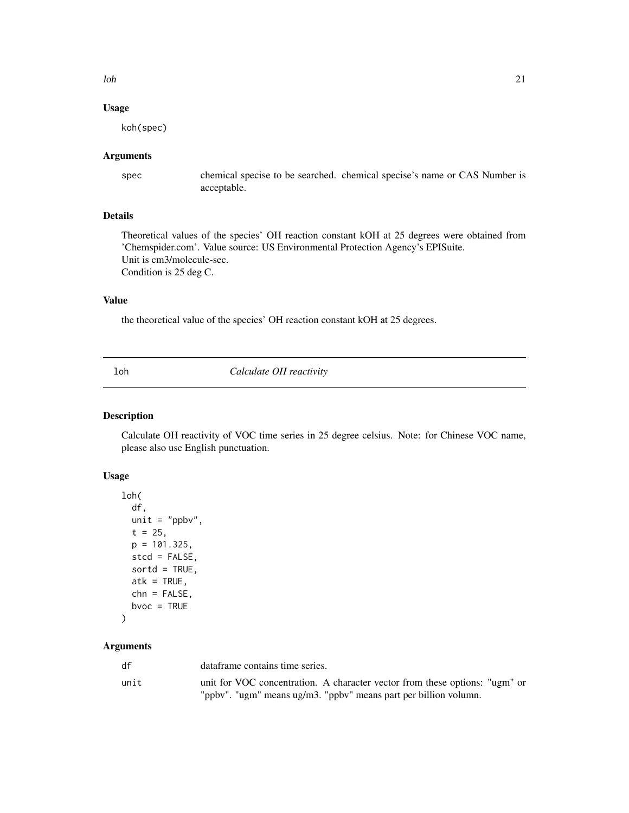<span id="page-20-0"></span> $\lambda$ loh  $\lambda$ 1

# Usage

koh(spec)

#### Arguments

spec chemical specise to be searched. chemical specise's name or CAS Number is acceptable.

# Details

Theoretical values of the species' OH reaction constant kOH at 25 degrees were obtained from 'Chemspider.com'. Value source: US Environmental Protection Agency's EPISuite. Unit is cm3/molecule-sec. Condition is 25 deg C.

# Value

the theoretical value of the species' OH reaction constant kOH at 25 degrees.

loh *Calculate OH reactivity*

#### Description

Calculate OH reactivity of VOC time series in 25 degree celsius. Note: for Chinese VOC name, please also use English punctuation.

#### Usage

```
loh(
  df,
 unit = "ppbv",
  t = 25,p = 101.325,
  stcd = FALSE,
  sortd = TRUE,atk = TRUE,chn = FALSE,
 bvoc = TRUE
)
```

| df   | dataframe contains time series.                                             |
|------|-----------------------------------------------------------------------------|
| unit | unit for VOC concentration. A character vector from these options: "ugm" or |
|      | "ppbv". "ugm" means ug/m3. "ppbv" means part per billion volumn.            |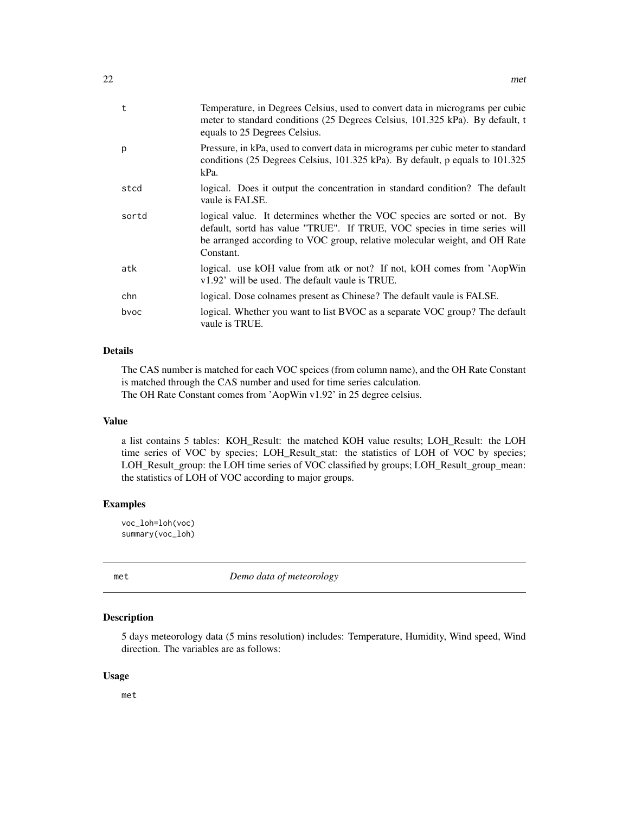<span id="page-21-0"></span>

| t     | Temperature, in Degrees Celsius, used to convert data in micrograms per cubic<br>meter to standard conditions (25 Degrees Celsius, 101.325 kPa). By default, t<br>equals to 25 Degrees Celsius.                                                    |
|-------|----------------------------------------------------------------------------------------------------------------------------------------------------------------------------------------------------------------------------------------------------|
| р     | Pressure, in kPa, used to convert data in micrograms per cubic meter to standard<br>conditions (25 Degrees Celsius, 101.325 kPa). By default, p equals to 101.325<br>kPa.                                                                          |
| stcd  | logical. Does it output the concentration in standard condition? The default<br>vaule is FALSE.                                                                                                                                                    |
| sortd | logical value. It determines whether the VOC species are sorted or not. By<br>default, sortd has value "TRUE". If TRUE, VOC species in time series will<br>be arranged according to VOC group, relative molecular weight, and OH Rate<br>Constant. |
| atk   | logical. use kOH value from atk or not? If not, kOH comes from 'AopWin<br>v1.92' will be used. The default vaule is TRUE.                                                                                                                          |
| chn   | logical. Dose colnames present as Chinese? The default vaule is FALSE.                                                                                                                                                                             |
| bvoc  | logical. Whether you want to list BVOC as a separate VOC group? The default<br>vaule is TRUE.                                                                                                                                                      |

# Details

The CAS number is matched for each VOC speices (from column name), and the OH Rate Constant is matched through the CAS number and used for time series calculation. The OH Rate Constant comes from 'AopWin v1.92' in 25 degree celsius.

#### Value

a list contains 5 tables: KOH\_Result: the matched KOH value results; LOH\_Result: the LOH time series of VOC by species; LOH\_Result\_stat: the statistics of LOH of VOC by species; LOH\_Result\_group: the LOH time series of VOC classified by groups; LOH\_Result\_group\_mean: the statistics of LOH of VOC according to major groups.

#### Examples

voc\_loh=loh(voc) summary(voc\_loh)

met *Demo data of meteorology*

#### Description

5 days meteorology data (5 mins resolution) includes: Temperature, Humidity, Wind speed, Wind direction. The variables are as follows:

#### Usage

met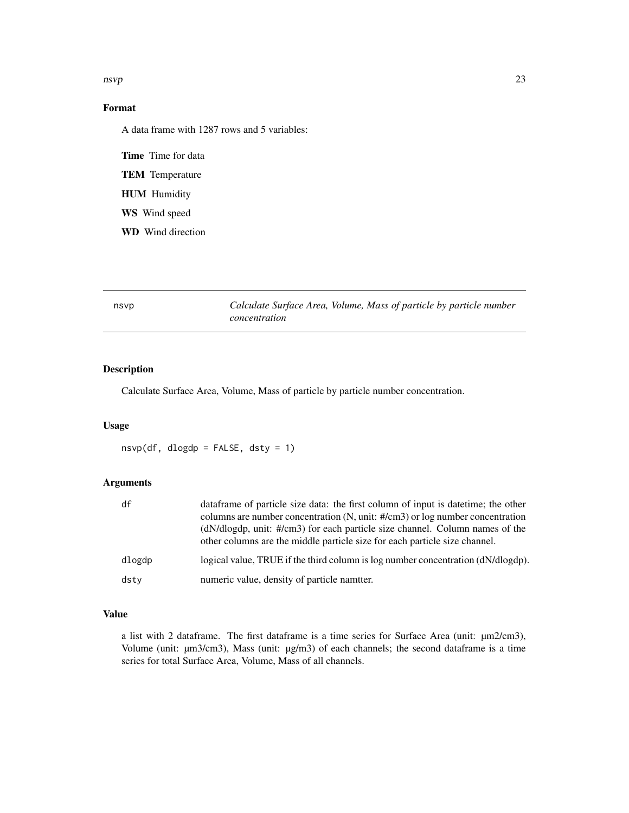<span id="page-22-0"></span> $\Box$  nsvp 23

# Format

A data frame with 1287 rows and 5 variables:

Time Time for data

TEM Temperature

HUM Humidity

WS Wind speed

WD Wind direction

nsvp *Calculate Surface Area, Volume, Mass of particle by particle number concentration*

# Description

Calculate Surface Area, Volume, Mass of particle by particle number concentration.

#### Usage

 $nsvp(df, dlogdp = FALSE, dsty = 1)$ 

# Arguments

| df     | data frame of particle size data: the first column of input is date time; the other                                                                          |
|--------|--------------------------------------------------------------------------------------------------------------------------------------------------------------|
|        | columns are number concentration (N, unit: #/cm3) or log number concentration                                                                                |
|        | $(dN/dlogdp, unit: #/cm3)$ for each particle size channel. Column names of the<br>other columns are the middle particle size for each particle size channel. |
| dlogdp | logical value, TRUE if the third column is log number concentration (dN/dlogdp).                                                                             |
| dstv   | numeric value, density of particle nameter.                                                                                                                  |

# Value

a list with 2 dataframe. The first dataframe is a time series for Surface Area (unit: µm2/cm3), Volume (unit: µm3/cm3), Mass (unit: µg/m3) of each channels; the second dataframe is a time series for total Surface Area, Volume, Mass of all channels.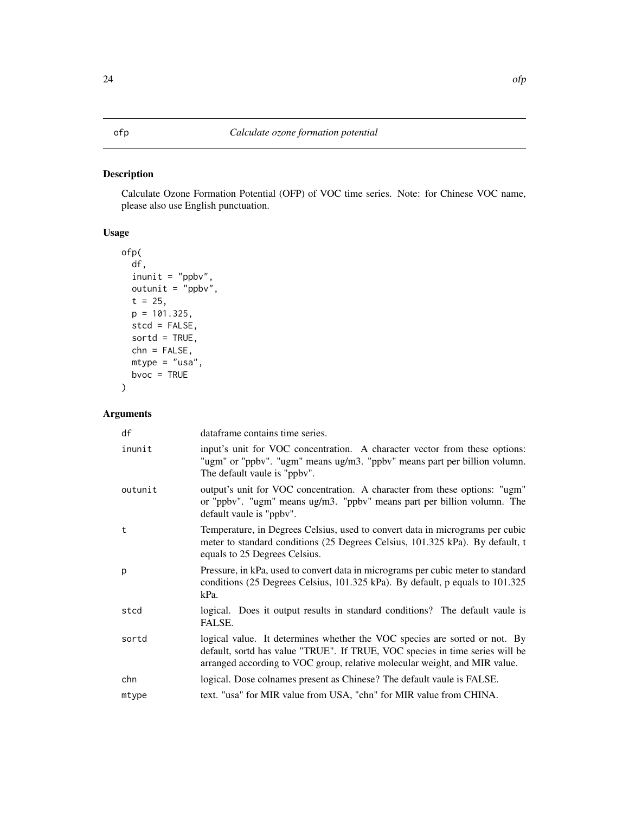# <span id="page-23-0"></span>Description

Calculate Ozone Formation Potential (OFP) of VOC time series. Note: for Chinese VOC name, please also use English punctuation.

# Usage

```
ofp(
  df,
 inunit = "ppbv",outunit = "ppbv",t = 25,p = 101.325,
  stcd = FALSE,
  sortd = TRUE,
  chn = FALSE,
 mtype = "usa",
 bvoc = TRUE
)
```

| dataframe contains time series.                                                                                                                                                                                                          |
|------------------------------------------------------------------------------------------------------------------------------------------------------------------------------------------------------------------------------------------|
| input's unit for VOC concentration. A character vector from these options:<br>"ugm" or "ppbv". "ugm" means ug/m3. "ppbv" means part per billion volumn.<br>The default vaule is "ppby".                                                  |
| output's unit for VOC concentration. A character from these options: "ugm"<br>or "ppbv". "ugm" means ug/m3. "ppbv" means part per billion volumn. The<br>default vaule is "ppbv".                                                        |
| Temperature, in Degrees Celsius, used to convert data in micrograms per cubic<br>meter to standard conditions (25 Degrees Celsius, 101.325 kPa). By default, t<br>equals to 25 Degrees Celsius.                                          |
| Pressure, in kPa, used to convert data in micrograms per cubic meter to standard<br>conditions (25 Degrees Celsius, 101.325 kPa). By default, p equals to 101.325<br>kPa.                                                                |
| logical. Does it output results in standard conditions? The default vaule is<br>FALSE.                                                                                                                                                   |
| logical value. It determines whether the VOC species are sorted or not. By<br>default, sortd has value "TRUE". If TRUE, VOC species in time series will be<br>arranged according to VOC group, relative molecular weight, and MIR value. |
| logical. Dose colnames present as Chinese? The default vaule is FALSE.                                                                                                                                                                   |
| text. "usa" for MIR value from USA, "chn" for MIR value from CHINA.                                                                                                                                                                      |
|                                                                                                                                                                                                                                          |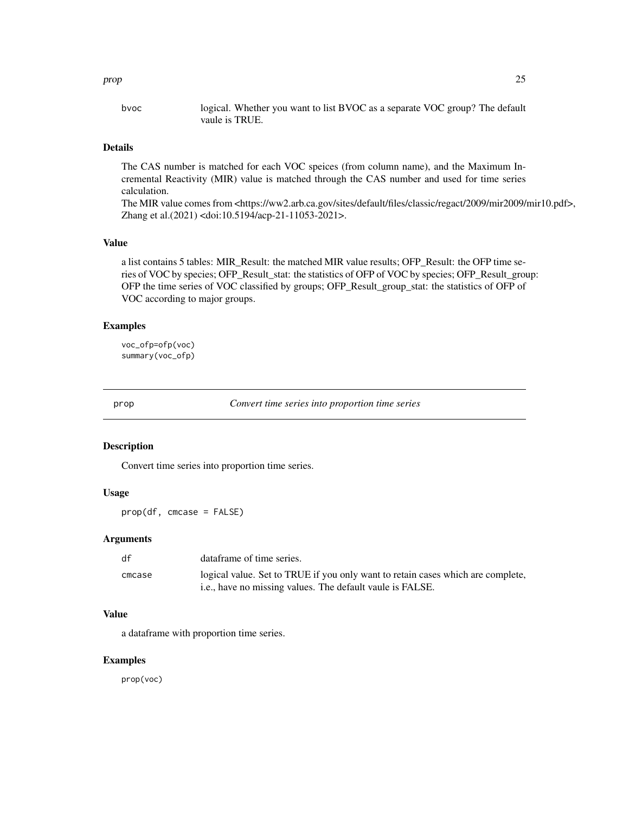<span id="page-24-0"></span>bvoc logical. Whether you want to list BVOC as a separate VOC group? The default vaule is TRUE.

## Details

The CAS number is matched for each VOC speices (from column name), and the Maximum Incremental Reactivity (MIR) value is matched through the CAS number and used for time series calculation.

The MIR value comes from <https://ww2.arb.ca.gov/sites/default/files/classic/regact/2009/mir2009/mir10.pdf>, Zhang et al.(2021) <doi:10.5194/acp-21-11053-2021>.

# Value

a list contains 5 tables: MIR\_Result: the matched MIR value results; OFP\_Result: the OFP time series of VOC by species; OFP\_Result\_stat: the statistics of OFP of VOC by species; OFP\_Result\_group: OFP the time series of VOC classified by groups; OFP\_Result\_group\_stat: the statistics of OFP of VOC according to major groups.

#### Examples

voc\_ofp=ofp(voc) summary(voc\_ofp)

prop *Convert time series into proportion time series*

# Description

Convert time series into proportion time series.

#### Usage

prop(df, cmcase = FALSE)

#### Arguments

| df     | dataframe of time series.                                                                                                                            |
|--------|------------------------------------------------------------------------------------------------------------------------------------------------------|
| cmcase | logical value. Set to TRUE if you only want to retain cases which are complete,<br><i>i.e.</i> , have no missing values. The default vaule is FALSE. |

# Value

a dataframe with proportion time series.

#### Examples

prop(voc)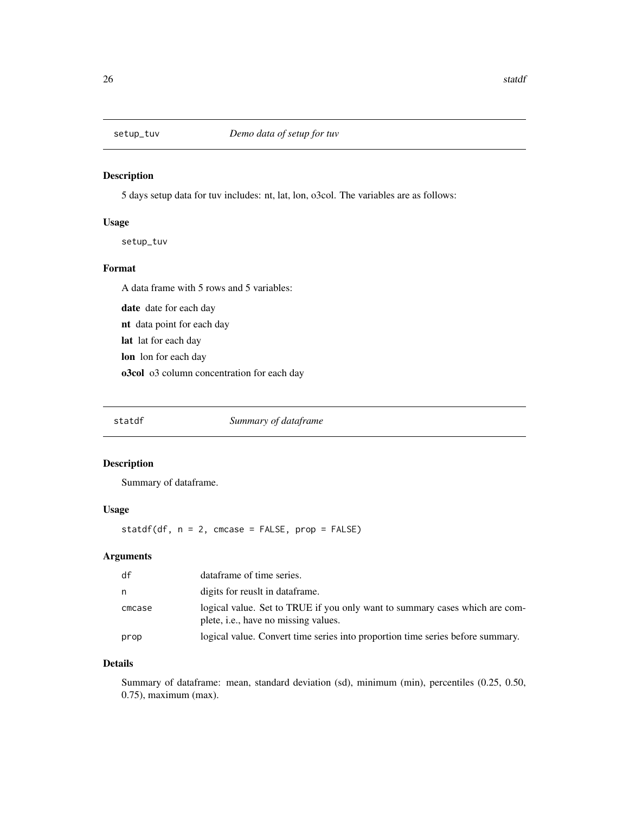<span id="page-25-0"></span>

# Description

5 days setup data for tuv includes: nt, lat, lon, o3col. The variables are as follows:

#### Usage

setup\_tuv

# Format

A data frame with 5 rows and 5 variables:

date date for each day nt data point for each day lat lat for each day lon lon for each day o3col o3 column concentration for each day

statdf *Summary of dataframe*

### Description

Summary of dataframe.

#### Usage

statdf(df,  $n = 2$ , cmcase = FALSE,  $prop = FALSE$ )

# Arguments

| df     | dataframe of time series.                                                                                                   |
|--------|-----------------------------------------------------------------------------------------------------------------------------|
| n      | digits for reusit in dataframe.                                                                                             |
| cmcase | logical value. Set to TRUE if you only want to summary cases which are com-<br>plete, <i>i.e.</i> , have no missing values. |
| prop   | logical value. Convert time series into proportion time series before summary.                                              |

# Details

Summary of dataframe: mean, standard deviation (sd), minimum (min), percentiles (0.25, 0.50, 0.75), maximum (max).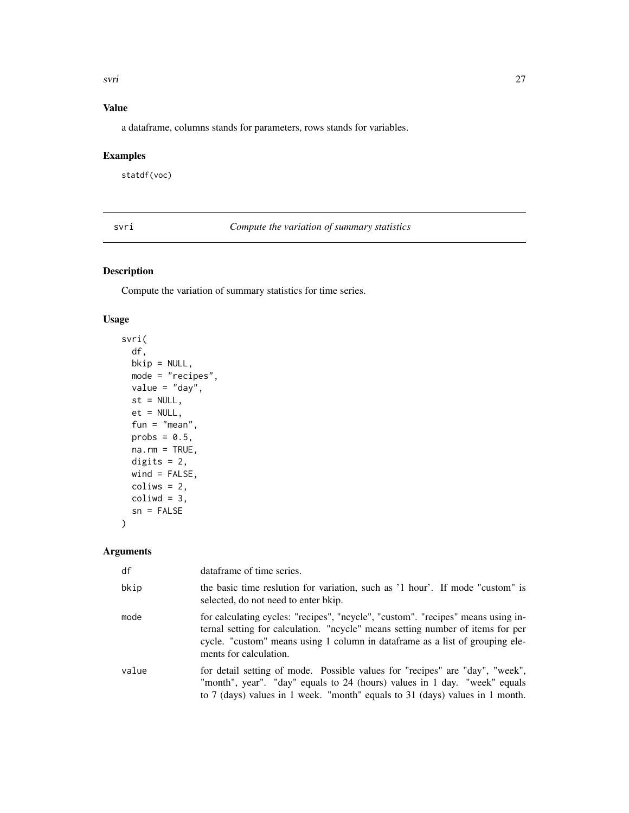<span id="page-26-0"></span>svri tehnik konstantine og sedan av den større og større og større og større og større og større og større og

# Value

a dataframe, columns stands for parameters, rows stands for variables.

# Examples

statdf(voc)

svri *Compute the variation of summary statistics*

# Description

Compute the variation of summary statistics for time series.

#### Usage

```
svri(
  df,
 bkip = NULL,
 mode = "recipes",
 value = "day",
 st = NULL,et = NULL,fun = "mean",probs = 0.5,
 na.rm = TRUE,digits = 2,
 wind = FALSE,colius = 2,
 coliwd = 3,
  sn = FALSE)
```

| df    | dataframe of time series.                                                                                                                                                                                                                                                    |
|-------|------------------------------------------------------------------------------------------------------------------------------------------------------------------------------------------------------------------------------------------------------------------------------|
| bkip  | the basic time reslution for variation, such as '1 hour'. If mode "custom" is<br>selected, do not need to enter bkip.                                                                                                                                                        |
| mode  | for calculating cycles: "recipes", "ncycle", "custom". "recipes" means using in-<br>ternal setting for calculation. "ncycle" means setting number of items for per<br>cycle. "custom" means using 1 column in dataframe as a list of grouping ele-<br>ments for calculation. |
| value | for detail setting of mode. Possible values for "recipes" are "day", "week",<br>"month", year". "day" equals to 24 (hours) values in 1 day. "week" equals<br>to 7 (days) values in 1 week. "month" equals to 31 (days) values in 1 month.                                    |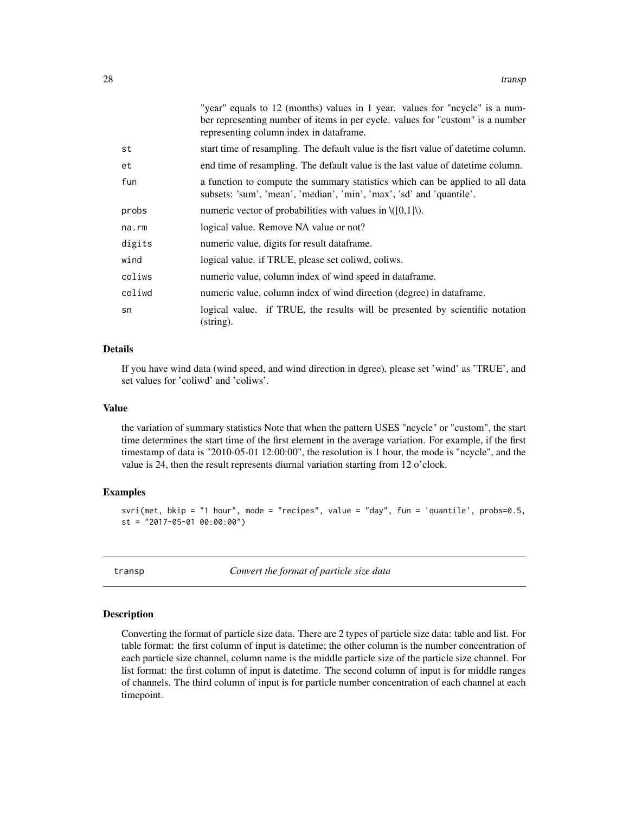<span id="page-27-0"></span>

|        | "year" equals to 12 (months) values in 1 year. values for "ncycle" is a num-                                                                          |
|--------|-------------------------------------------------------------------------------------------------------------------------------------------------------|
|        | ber representing number of items in per cycle. values for "custom" is a number                                                                        |
|        | representing column index in dataframe.                                                                                                               |
| st     | start time of resampling. The default value is the fisrt value of date time column.                                                                   |
| et     | end time of resampling. The default value is the last value of date time column.                                                                      |
| fun    | a function to compute the summary statistics which can be applied to all data<br>subsets: 'sum', 'mean', 'median', 'min', 'max', 'sd' and 'quantile'. |
| probs  | numeric vector of probabilities with values in $\setminus$ ([0,1] $\setminus$ ).                                                                      |
| na.rm  | logical value. Remove NA value or not?                                                                                                                |
| digits | numeric value, digits for result dataframe.                                                                                                           |
| wind   | logical value. if TRUE, please set coliwd, coliws.                                                                                                    |
| coliws | numeric value, column index of wind speed in dataframe.                                                                                               |
| coliwd | numeric value, column index of wind direction (degree) in dataframe.                                                                                  |
| sn     | logical value. if TRUE, the results will be presented by scientific notation<br>$(\text{string})$ .                                                   |

#### Details

If you have wind data (wind speed, and wind direction in dgree), please set 'wind' as 'TRUE', and set values for 'coliwd' and 'coliws'.

#### Value

the variation of summary statistics Note that when the pattern USES "ncycle" or "custom", the start time determines the start time of the first element in the average variation. For example, if the first timestamp of data is "2010-05-01 12:00:00", the resolution is 1 hour, the mode is "ncycle", and the value is 24, then the result represents diurnal variation starting from 12 o'clock.

#### Examples

```
svri(met, bkip = "1 hour", mode = "recipes", value = "day", fun = 'quantile', probs=0.5,
st = "2017-05-01 00:00:00")
```
transp *Convert the format of particle size data*

#### Description

Converting the format of particle size data. There are 2 types of particle size data: table and list. For table format: the first column of input is datetime; the other column is the number concentration of each particle size channel, column name is the middle particle size of the particle size channel. For list format: the first column of input is datetime. The second column of input is for middle ranges of channels. The third column of input is for particle number concentration of each channel at each timepoint.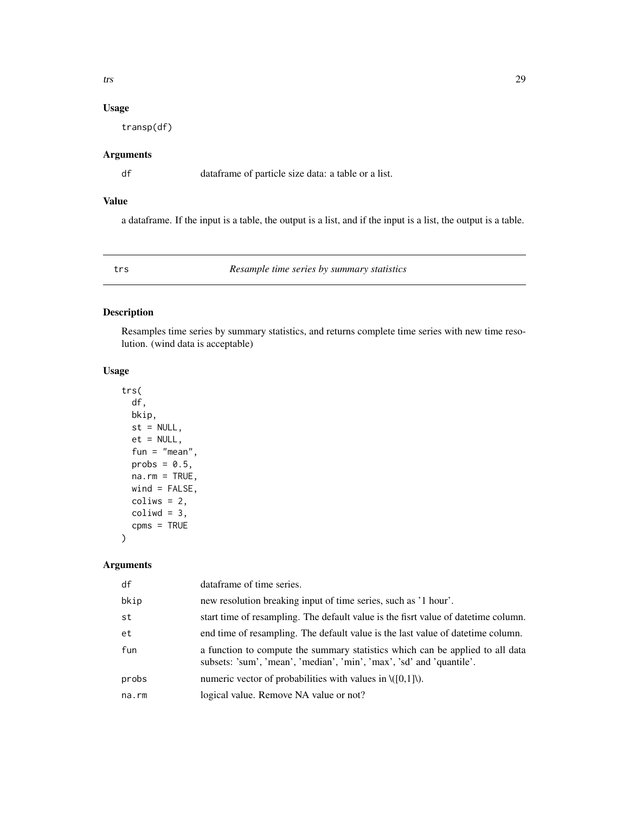# <span id="page-28-0"></span>Usage

transp(df)

# Arguments

df dataframe of particle size data: a table or a list.

# Value

a dataframe. If the input is a table, the output is a list, and if the input is a list, the output is a table.

trs *Resample time series by summary statistics*

## Description

Resamples time series by summary statistics, and returns complete time series with new time resolution. (wind data is acceptable)

#### Usage

```
trs(
 df,
 bkip,
 st = NULL,et = NULL,
  fun = "mean",
 probs = 0.5,
 na.rm = TRUE,wind = FALSE,coliws = 2,
 coliwd = 3,
  cpms = TRUE
```
### Arguments

)

| df    | dataframe of time series.                                                                                                                             |
|-------|-------------------------------------------------------------------------------------------------------------------------------------------------------|
| bkip  | new resolution breaking input of time series, such as '1 hour'.                                                                                       |
| st    | start time of resampling. The default value is the fisrt value of date time column.                                                                   |
| et    | end time of resampling. The default value is the last value of date time column.                                                                      |
| fun   | a function to compute the summary statistics which can be applied to all data<br>subsets: 'sum', 'mean', 'median', 'min', 'max', 'sd' and 'quantile'. |
| probs | numeric vector of probabilities with values in $\langle [0,1] \rangle$ .                                                                              |
| na.rm | logical value. Remove NA value or not?                                                                                                                |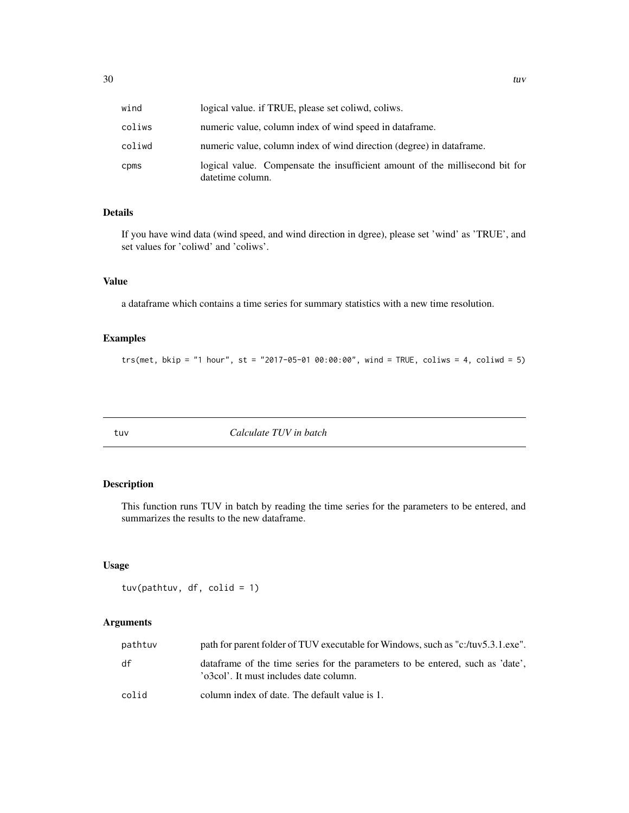<span id="page-29-0"></span>

| wind   | logical value, if TRUE, please set coliwd, coliws.                                               |
|--------|--------------------------------------------------------------------------------------------------|
| coliws | numeric value, column index of wind speed in dataframe.                                          |
| coliwd | numeric value, column index of wind direction (degree) in data frame.                            |
| cpms   | logical value. Compensate the insufficient amount of the millisecond bit for<br>datetime column. |

#### Details

If you have wind data (wind speed, and wind direction in dgree), please set 'wind' as 'TRUE', and set values for 'coliwd' and 'coliws'.

## Value

a dataframe which contains a time series for summary statistics with a new time resolution.

#### Examples

trs(met, bkip = "1 hour", st = "2017-05-01 00:00:00", wind = TRUE, coliws = 4, coliwd = 5)

tuv *Calculate TUV in batch*

# Description

This function runs TUV in batch by reading the time series for the parameters to be entered, and summarizes the results to the new dataframe.

#### Usage

tuv(pathtuv, df, colid = 1)

| pathtuv | path for parent folder of TUV executable for Windows, such as "c:/tuv5.3.1.exe".                                          |
|---------|---------------------------------------------------------------------------------------------------------------------------|
| df      | data frame of the time series for the parameters to be entered, such as 'date'.<br>'o3col'. It must includes date column. |
| colid   | column index of date. The default value is 1.                                                                             |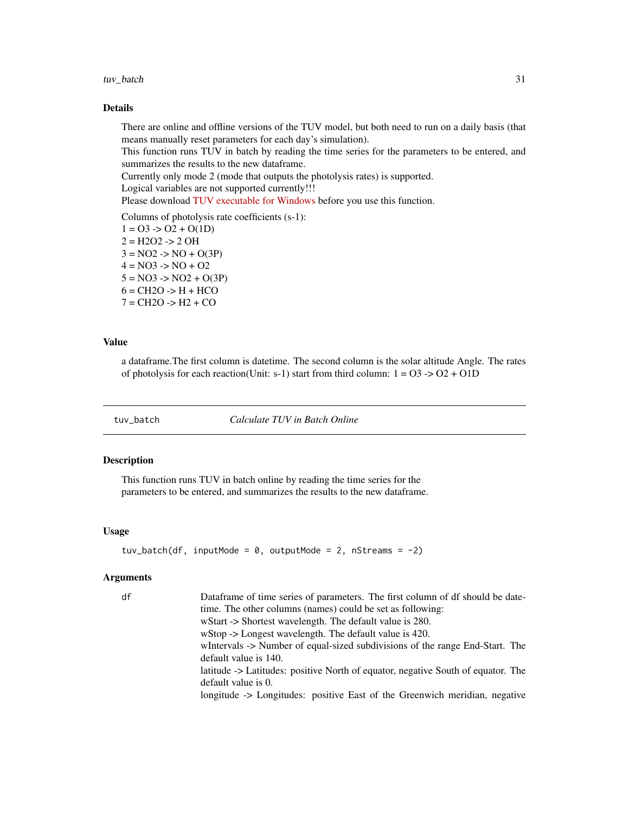#### <span id="page-30-0"></span>tuv\_batch 31

## Details

There are online and offline versions of the TUV model, but both need to run on a daily basis (that means manually reset parameters for each day's simulation).

This function runs TUV in batch by reading the time series for the parameters to be entered, and summarizes the results to the new dataframe.

Currently only mode 2 (mode that outputs the photolysis rates) is supported.

Logical variables are not supported currently!!!

Please download [TUV executable for Windows](https://www2.acom.ucar.edu/sites/default/files/modeling/tuv5.3.1.exe_.zip) before you use this function.

Columns of photolysis rate coefficients (s-1):  $1 = 03 \div 02 + O(1D)$  $2 = H2O2 \rightarrow 2 OH$  $3 = NO2$  ->  $NO + O(3P)$  $4 = NO3 \rightarrow NO + O2$  $5 = NO3 \rightarrow NO2 + O(3P)$  $6 = CH2O \rightarrow H + HCO$  $7 = CH2O \rightarrow H2 + CO$ 

#### Value

a dataframe.The first column is datetime. The second column is the solar altitude Angle. The rates of photolysis for each reaction(Unit: s-1) start from third column:  $1 = 03 \rightarrow 02 + 01D$ 

tuv\_batch *Calculate TUV in Batch Online*

#### Description

This function runs TUV in batch online by reading the time series for the parameters to be entered, and summarizes the results to the new dataframe.

#### Usage

```
tuv_batch(df, inputMode = 0, outputMode = 2, nStreams = -2)
```

| df | Dataframe of time series of parameters. The first column of df should be date-   |
|----|----------------------------------------------------------------------------------|
|    | time. The other columns (names) could be set as following:                       |
|    | wStart -> Shortest wavelength. The default value is 280.                         |
|    | wStop $\rightarrow$ Longest wavelength. The default value is 420.                |
|    | white where SNumber of equal-sized subdivisions of the range End-Start. The      |
|    | default value is 140.                                                            |
|    | latitude -> Latitudes: positive North of equator, negative South of equator. The |
|    | default value is 0.                                                              |
|    | longitude -> Longitudes: positive East of the Greenwich meridian, negative       |
|    |                                                                                  |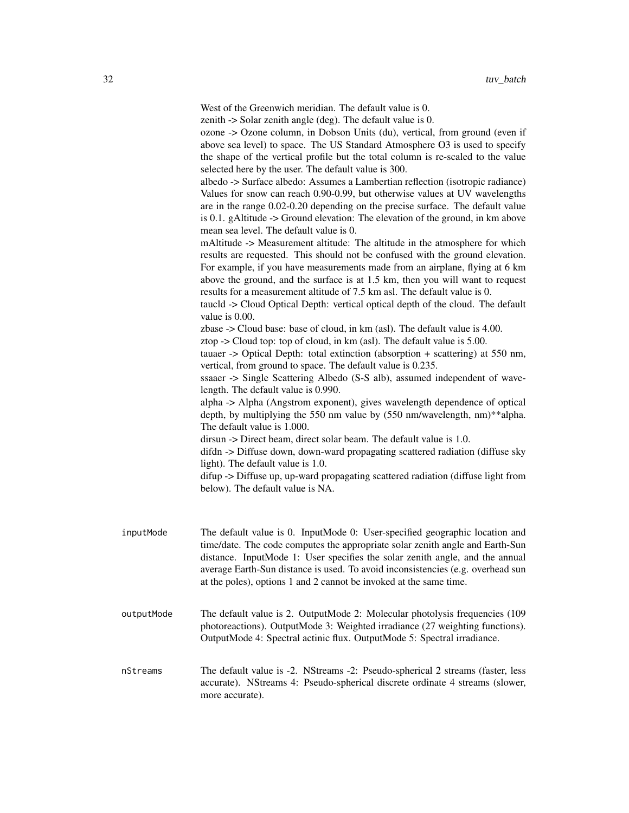West of the Greenwich meridian. The default value is 0.

zenith -> Solar zenith angle (deg). The default value is 0.

ozone -> Ozone column, in Dobson Units (du), vertical, from ground (even if above sea level) to space. The US Standard Atmosphere O3 is used to specify the shape of the vertical profile but the total column is re-scaled to the value selected here by the user. The default value is 300. albedo -> Surface albedo: Assumes a Lambertian reflection (isotropic radiance) Values for snow can reach 0.90-0.99, but otherwise values at UV wavelengths are in the range 0.02-0.20 depending on the precise surface. The default value is 0.1. gAltitude -> Ground elevation: The elevation of the ground, in km above mean sea level. The default value is 0. mAltitude -> Measurement altitude: The altitude in the atmosphere for which

results are requested. This should not be confused with the ground elevation. For example, if you have measurements made from an airplane, flying at 6 km above the ground, and the surface is at 1.5 km, then you will want to request results for a measurement altitude of 7.5 km asl. The default value is 0.

taucld -> Cloud Optical Depth: vertical optical depth of the cloud. The default value is 0.00.

zbase -> Cloud base: base of cloud, in km (asl). The default value is 4.00.

ztop -> Cloud top: top of cloud, in km (asl). The default value is 5.00.

tauaer -> Optical Depth: total extinction (absorption + scattering) at 550 nm, vertical, from ground to space. The default value is 0.235.

ssaaer -> Single Scattering Albedo (S-S alb), assumed independent of wavelength. The default value is 0.990.

alpha -> Alpha (Angstrom exponent), gives wavelength dependence of optical depth, by multiplying the 550 nm value by (550 nm/wavelength, nm)\*\*alpha. The default value is 1.000.

dirsun -> Direct beam, direct solar beam. The default value is 1.0.

difdn -> Diffuse down, down-ward propagating scattered radiation (diffuse sky light). The default value is 1.0.

difup -> Diffuse up, up-ward propagating scattered radiation (diffuse light from below). The default value is NA.

- inputMode The default value is 0. InputMode 0: User-specified geographic location and time/date. The code computes the appropriate solar zenith angle and Earth-Sun distance. InputMode 1: User specifies the solar zenith angle, and the annual average Earth-Sun distance is used. To avoid inconsistencies (e.g. overhead sun at the poles), options 1 and 2 cannot be invoked at the same time.
- outputMode The default value is 2. OutputMode 2: Molecular photolysis frequencies (109 photoreactions). OutputMode 3: Weighted irradiance (27 weighting functions). OutputMode 4: Spectral actinic flux. OutputMode 5: Spectral irradiance.
- nStreams The default value is -2. NStreams -2: Pseudo-spherical 2 streams (faster, less accurate). NStreams 4: Pseudo-spherical discrete ordinate 4 streams (slower, more accurate).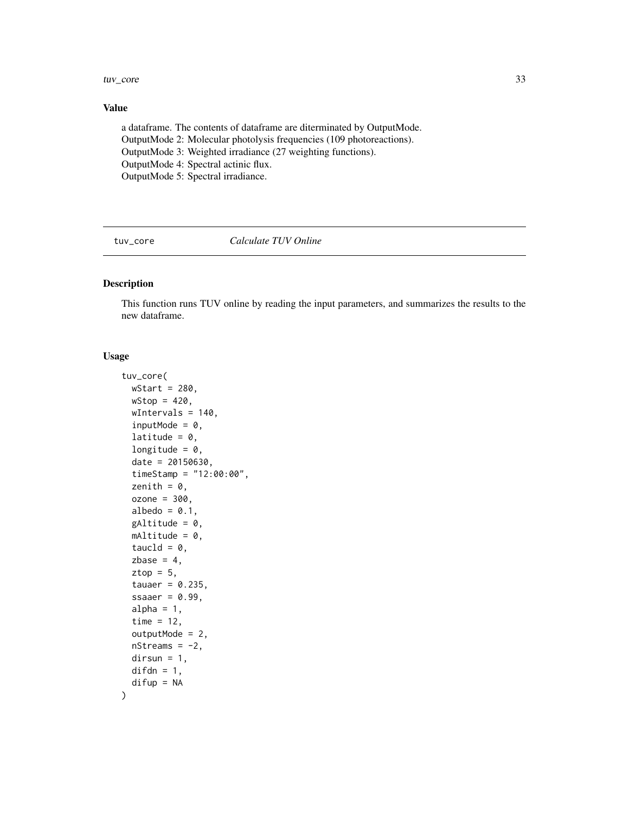<span id="page-32-0"></span>tuv\_core 33

### Value

a dataframe. The contents of dataframe are diterminated by OutputMode. OutputMode 2: Molecular photolysis frequencies (109 photoreactions). OutputMode 3: Weighted irradiance (27 weighting functions). OutputMode 4: Spectral actinic flux. OutputMode 5: Spectral irradiance.

tuv\_core *Calculate TUV Online*

#### Description

This function runs TUV online by reading the input parameters, and summarizes the results to the new dataframe.

# Usage

```
tuv_core(
 wStart = 280,
 wStop = 420,
 wIntervals = 140,
  inputMode = 0,
  latitude = 0,
  longitude = 0,
  date = 20150630,
  timeStamp = "12:00:00",
  zenith = 0,
  ozone = 300,
  albedo = 0.1,
 gAltitude = 0,
 mAltitude = 0,
  taucld = 0,
  zbase = 4,
  ztop = 5,
  tauaer = 0.235,
  ssaaer = 0.99,
  alpha = 1,
  time = 12,
  outputMode = 2,
 nStreams = -2,
  dirsun = 1,
  difdn = 1,
  difup = NA)
```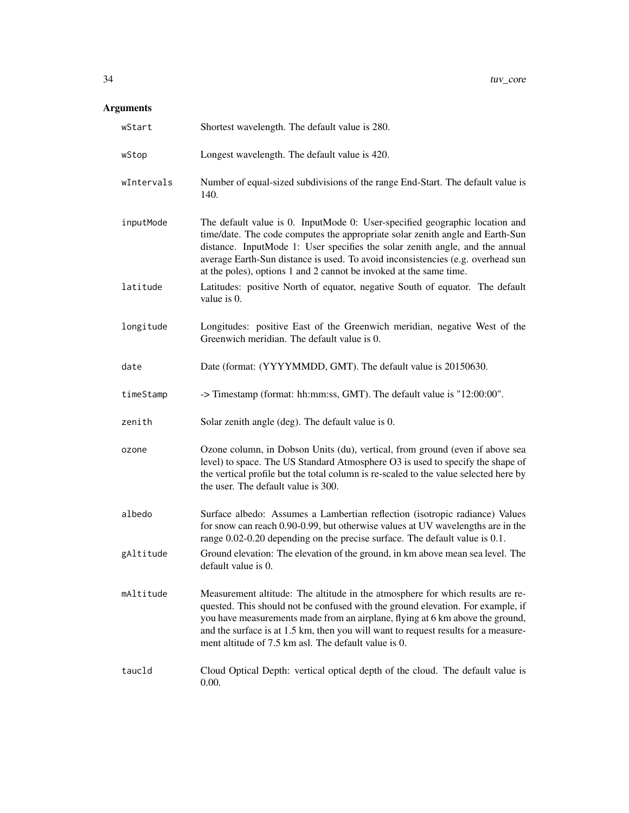| wStart     | Shortest wavelength. The default value is 280.                                                                                                                                                                                                                                                                                                                                                        |
|------------|-------------------------------------------------------------------------------------------------------------------------------------------------------------------------------------------------------------------------------------------------------------------------------------------------------------------------------------------------------------------------------------------------------|
| wStop      | Longest wavelength. The default value is 420.                                                                                                                                                                                                                                                                                                                                                         |
| wIntervals | Number of equal-sized subdivisions of the range End-Start. The default value is<br>140.                                                                                                                                                                                                                                                                                                               |
| inputMode  | The default value is 0. InputMode 0: User-specified geographic location and<br>time/date. The code computes the appropriate solar zenith angle and Earth-Sun<br>distance. InputMode 1: User specifies the solar zenith angle, and the annual<br>average Earth-Sun distance is used. To avoid inconsistencies (e.g. overhead sun<br>at the poles), options 1 and 2 cannot be invoked at the same time. |
| latitude   | Latitudes: positive North of equator, negative South of equator. The default<br>value is 0.                                                                                                                                                                                                                                                                                                           |
| longitude  | Longitudes: positive East of the Greenwich meridian, negative West of the<br>Greenwich meridian. The default value is 0.                                                                                                                                                                                                                                                                              |
| date       | Date (format: (YYYYMMDD, GMT). The default value is 20150630.                                                                                                                                                                                                                                                                                                                                         |
| timeStamp  | -> Timestamp (format: hh:mm:ss, GMT). The default value is "12:00:00".                                                                                                                                                                                                                                                                                                                                |
| zenith     | Solar zenith angle (deg). The default value is 0.                                                                                                                                                                                                                                                                                                                                                     |
| ozone      | Ozone column, in Dobson Units (du), vertical, from ground (even if above sea<br>level) to space. The US Standard Atmosphere O3 is used to specify the shape of<br>the vertical profile but the total column is re-scaled to the value selected here by<br>the user. The default value is 300.                                                                                                         |
| albedo     | Surface albedo: Assumes a Lambertian reflection (isotropic radiance) Values<br>for snow can reach 0.90-0.99, but otherwise values at UV wavelengths are in the<br>range 0.02-0.20 depending on the precise surface. The default value is 0.1.                                                                                                                                                         |
| gAltitude  | Ground elevation: The elevation of the ground, in km above mean sea level. The<br>default value is 0.                                                                                                                                                                                                                                                                                                 |
| mAltitude  | Measurement altitude: The altitude in the atmosphere for which results are re-<br>quested. This should not be confused with the ground elevation. For example, if<br>you have measurements made from an airplane, flying at 6 km above the ground,<br>and the surface is at 1.5 km, then you will want to request results for a measure-<br>ment altitude of 7.5 km asl. The default value is 0.      |
| taucld     | Cloud Optical Depth: vertical optical depth of the cloud. The default value is<br>$0.00.$                                                                                                                                                                                                                                                                                                             |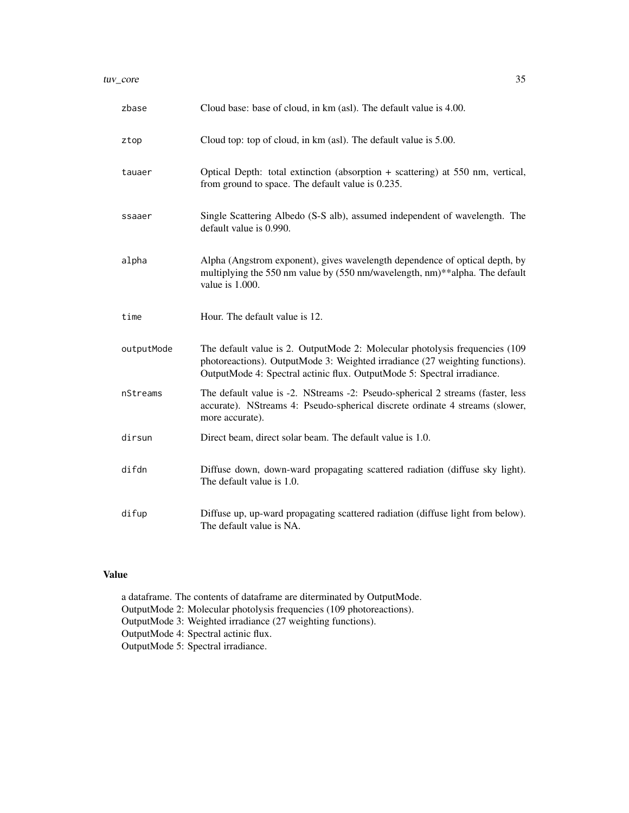| zbase      | Cloud base: base of cloud, in km (asl). The default value is 4.00.                                                                                                                                                                      |
|------------|-----------------------------------------------------------------------------------------------------------------------------------------------------------------------------------------------------------------------------------------|
| ztop       | Cloud top: top of cloud, in km (asl). The default value is 5.00.                                                                                                                                                                        |
| tauaer     | Optical Depth: total extinction (absorption $+$ scattering) at 550 nm, vertical,<br>from ground to space. The default value is 0.235.                                                                                                   |
| ssaaer     | Single Scattering Albedo (S-S alb), assumed independent of wavelength. The<br>default value is 0.990.                                                                                                                                   |
| alpha      | Alpha (Angstrom exponent), gives wavelength dependence of optical depth, by<br>multiplying the 550 nm value by (550 nm/wavelength, nm)**alpha. The default<br>value is 1.000.                                                           |
| time       | Hour. The default value is 12.                                                                                                                                                                                                          |
| outputMode | The default value is 2. OutputMode 2: Molecular photolysis frequencies (109)<br>photoreactions). OutputMode 3: Weighted irradiance (27 weighting functions).<br>OutputMode 4: Spectral actinic flux. OutputMode 5: Spectral irradiance. |
| nStreams   | The default value is -2. NStreams -2: Pseudo-spherical 2 streams (faster, less<br>accurate). NStreams 4: Pseudo-spherical discrete ordinate 4 streams (slower,<br>more accurate).                                                       |
| dirsun     | Direct beam, direct solar beam. The default value is 1.0.                                                                                                                                                                               |
| difdn      | Diffuse down, down-ward propagating scattered radiation (diffuse sky light).<br>The default value is 1.0.                                                                                                                               |
| difup      | Diffuse up, up-ward propagating scattered radiation (diffuse light from below).<br>The default value is NA.                                                                                                                             |

#### Value

a dataframe. The contents of dataframe are diterminated by OutputMode. OutputMode 2: Molecular photolysis frequencies (109 photoreactions). OutputMode 3: Weighted irradiance (27 weighting functions). OutputMode 4: Spectral actinic flux. OutputMode 5: Spectral irradiance.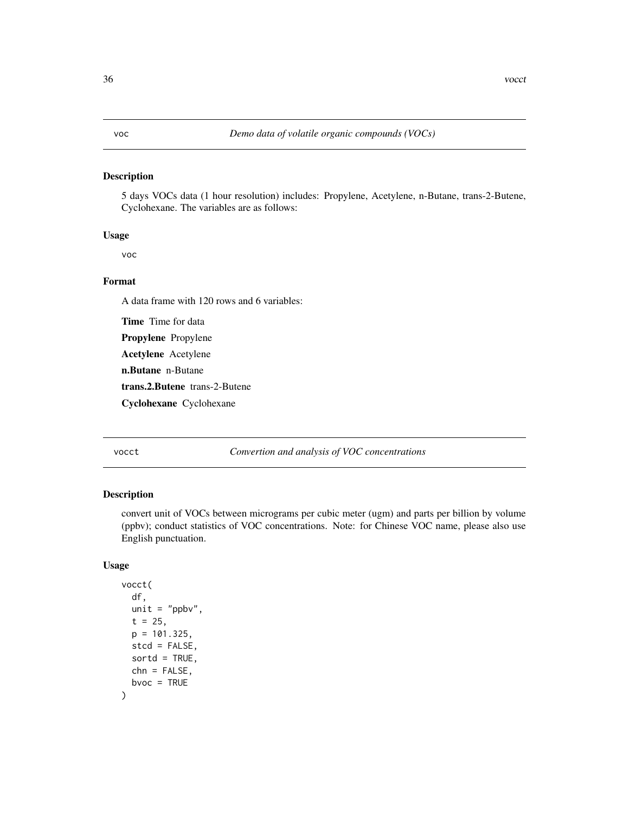# <span id="page-35-0"></span>Description

5 days VOCs data (1 hour resolution) includes: Propylene, Acetylene, n-Butane, trans-2-Butene, Cyclohexane. The variables are as follows:

#### Usage

voc

# Format

A data frame with 120 rows and 6 variables:

Time Time for data

Propylene Propylene

Acetylene Acetylene

n.Butane n-Butane

trans.2.Butene trans-2-Butene

Cyclohexane Cyclohexane

# vocct *Convertion and analysis of VOC concentrations*

# Description

convert unit of VOCs between micrograms per cubic meter (ugm) and parts per billion by volume (ppbv); conduct statistics of VOC concentrations. Note: for Chinese VOC name, please also use English punctuation.

#### Usage

```
vocct(
  df,
 unit = "ppbv",
  t = 25,
 p = 101.325,
 stcd = FALSE,
  sortd = TRUE,
 chn = FALSE,
 bvoc = TRUE
)
```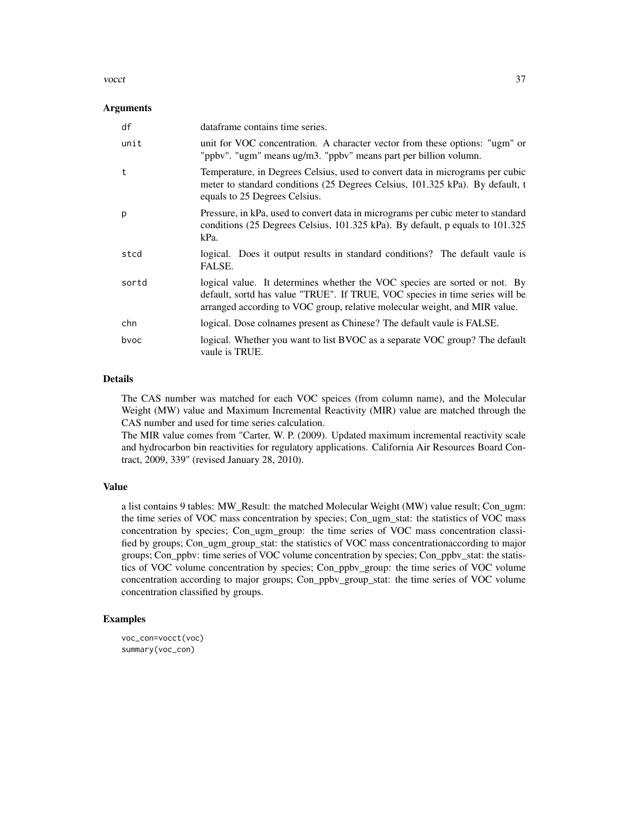#### vocct 37

#### **Arguments**

| df    | dataframe contains time series.                                                                                                                                                                                                          |
|-------|------------------------------------------------------------------------------------------------------------------------------------------------------------------------------------------------------------------------------------------|
| unit  | unit for VOC concentration. A character vector from these options: "ugm" or<br>"ppbv". "ugm" means ug/m3. "ppbv" means part per billion volumn.                                                                                          |
| t     | Temperature, in Degrees Celsius, used to convert data in micrograms per cubic<br>meter to standard conditions (25 Degrees Celsius, 101.325 kPa). By default, t<br>equals to 25 Degrees Celsius.                                          |
| p     | Pressure, in kPa, used to convert data in micrograms per cubic meter to standard<br>conditions (25 Degrees Celsius, 101.325 kPa). By default, p equals to 101.325<br>kPa.                                                                |
| stcd  | logical. Does it output results in standard conditions? The default vaule is<br>FALSE.                                                                                                                                                   |
| sortd | logical value. It determines whether the VOC species are sorted or not. By<br>default, sortd has value "TRUE". If TRUE, VOC species in time series will be<br>arranged according to VOC group, relative molecular weight, and MIR value. |
| chn   | logical. Dose colnames present as Chinese? The default vaule is FALSE.                                                                                                                                                                   |
| byoc  | logical. Whether you want to list BVOC as a separate VOC group? The default<br>vaule is TRUE.                                                                                                                                            |

# Details

The CAS number was matched for each VOC speices (from column name), and the Molecular Weight (MW) value and Maximum Incremental Reactivity (MIR) value are matched through the CAS number and used for time series calculation.

The MIR value comes from "Carter, W. P. (2009). Updated maximum incremental reactivity scale and hydrocarbon bin reactivities for regulatory applications. California Air Resources Board Contract, 2009, 339" (revised January 28, 2010).

#### Value

a list contains 9 tables: MW\_Result: the matched Molecular Weight (MW) value result; Con\_ugm: the time series of VOC mass concentration by species; Con\_ugm\_stat: the statistics of VOC mass concentration by species; Con\_ugm\_group: the time series of VOC mass concentration classified by groups; Con\_ugm\_group\_stat: the statistics of VOC mass concentrationaccording to major groups; Con\_ppbv: time series of VOC volume concentration by species; Con\_ppbv\_stat: the statistics of VOC volume concentration by species; Con\_ppbv\_group: the time series of VOC volume concentration according to major groups; Con\_ppbv\_group\_stat: the time series of VOC volume concentration classified by groups.

#### Examples

```
voc_con=vocct(voc)
summary(voc_con)
```